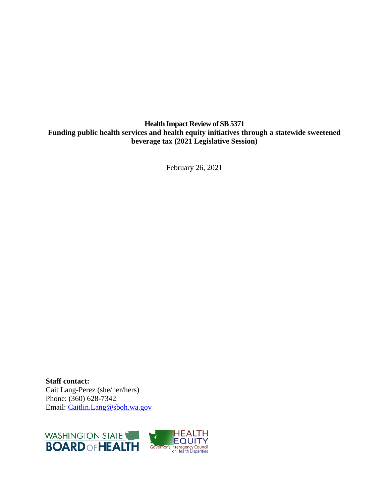**Health Impact Review of SB 5371 Funding public health services and health equity initiatives through a statewide sweetened beverage tax (2021 Legislative Session)**

February 26, 2021

**Staff contact:** Cait Lang-Perez (she/her/hers) Phone: (360) 628-7342 Email: [Caitlin.Lang@sboh.wa.gov](mailto:Caitlin.Lang@sboh.wa.gov)

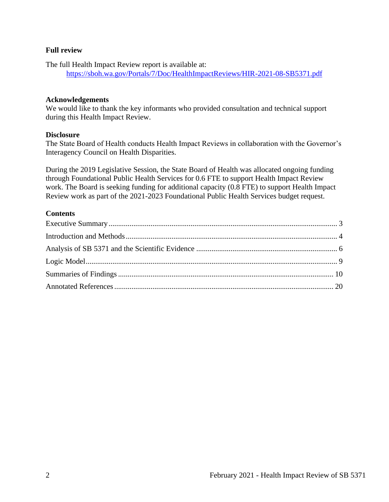## **Full review**

The full Health Impact Review report is available at: <https://sboh.wa.gov/Portals/7/Doc/HealthImpactReviews/HIR-2021-08-SB5371.pdf>

#### **Acknowledgements**

We would like to thank the key informants who provided consultation and technical support during this Health Impact Review.

#### **Disclosure**

The State Board of Health conducts Health Impact Reviews in collaboration with the Governor's Interagency Council on Health Disparities.

During the 2019 Legislative Session, the State Board of Health was allocated ongoing funding through Foundational Public Health Services for 0.6 FTE to support Health Impact Review work. The Board is seeking funding for additional capacity (0.8 FTE) to support Health Impact Review work as part of the 2021-2023 Foundational Public Health Services budget request.

## **Contents**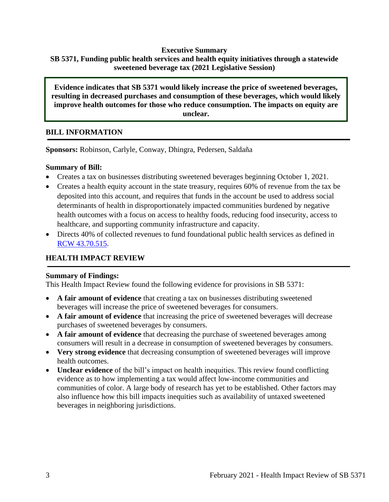## <span id="page-2-0"></span>**Executive Summary SB 5371, Funding public health services and health equity initiatives through a statewide sweetened beverage tax (2021 Legislative Session)**

**Evidence indicates that SB 5371 would likely increase the price of sweetened beverages, resulting in decreased purchases and consumption of these beverages, which would likely improve health outcomes for those who reduce consumption. The impacts on equity are unclear.** 

## **BILL INFORMATION**

**Sponsors:** Robinson, Carlyle, Conway, Dhingra, Pedersen, Saldaña

## **Summary of Bill:**

- Creates a tax on businesses distributing sweetened beverages beginning October 1, 2021.
- Creates a health equity account in the state treasury, requires 60% of revenue from the tax be deposited into this account, and requires that funds in the account be used to address social determinants of health in disproportionately impacted communities burdened by negative health outcomes with a focus on access to healthy foods, reducing food insecurity, access to healthcare, and supporting community infrastructure and capacity.
- Directs 40% of collected revenues to fund foundational public health services as defined in [RCW 43.70.515.](https://app.leg.wa.gov/RCW/default.aspx?cite=43.70.515#:~:text=(1)%20With%20any%20state%20funding,the%20governmental%20public%20health%20system.)

## **HEALTH IMPACT REVIEW**

#### **Summary of Findings:**

This Health Impact Review found the following evidence for provisions in SB 5371:

- **A fair amount of evidence** that creating a tax on businesses distributing sweetened beverages will increase the price of sweetened beverages for consumers.
- **A fair amount of evidence** that increasing the price of sweetened beverages will decrease purchases of sweetened beverages by consumers.
- **A fair amount of evidence** that decreasing the purchase of sweetened beverages among consumers will result in a decrease in consumption of sweetened beverages by consumers.
- **Very strong evidence** that decreasing consumption of sweetened beverages will improve health outcomes.
- **Unclear evidence** of the bill's impact on health inequities. This review found conflicting evidence as to how implementing a tax would affect low-income communities and communities of color. A large body of research has yet to be established. Other factors may also influence how this bill impacts inequities such as availability of untaxed sweetened beverages in neighboring jurisdictions.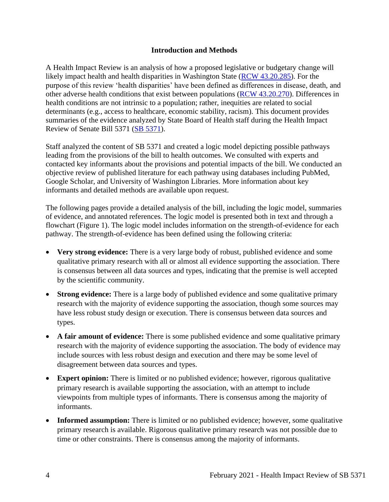#### **Introduction and Methods**

<span id="page-3-0"></span>A Health Impact Review is an analysis of how a proposed legislative or budgetary change will likely impact health and health disparities in Washington State [\(RCW 43.20.285\)](http://apps.leg.wa.gov/rcw/default.aspx?cite=43.20.285). For the purpose of this review 'health disparities' have been defined as differences in disease, death, and other adverse health conditions that exist between populations [\(RCW 43.20.270\)](http://apps.leg.wa.gov/rcw/default.aspx?cite=43.20.270). Differences in health conditions are not intrinsic to a population; rather, inequities are related to social determinants (e.g., access to healthcare, economic stability, racism). This document provides summaries of the evidence analyzed by State Board of Health staff during the Health Impact Review of Senate Bill 5371 [\(SB 5371\)](https://app.leg.wa.gov/billsummary?BillNumber=5371&Year=2021&Initiative=false).

Staff analyzed the content of SB 5371 and created a logic model depicting possible pathways leading from the provisions of the bill to health outcomes. We consulted with experts and contacted key informants about the provisions and potential impacts of the bill. We conducted an objective review of published literature for each pathway using databases including PubMed, Google Scholar, and University of Washington Libraries. More information about key informants and detailed methods are available upon request.

The following pages provide a detailed analysis of the bill, including the logic model, summaries of evidence, and annotated references. The logic model is presented both in text and through a flowchart (Figure 1). The logic model includes information on the strength-of-evidence for each pathway. The strength-of-evidence has been defined using the following criteria:

- **Very strong evidence:** There is a very large body of robust, published evidence and some qualitative primary research with all or almost all evidence supporting the association. There is consensus between all data sources and types, indicating that the premise is well accepted by the scientific community.
- **Strong evidence:** There is a large body of published evidence and some qualitative primary research with the majority of evidence supporting the association, though some sources may have less robust study design or execution. There is consensus between data sources and types.
- A fair amount of evidence: There is some published evidence and some qualitative primary research with the majority of evidence supporting the association. The body of evidence may include sources with less robust design and execution and there may be some level of disagreement between data sources and types.
- **Expert opinion:** There is limited or no published evidence; however, rigorous qualitative primary research is available supporting the association, with an attempt to include viewpoints from multiple types of informants. There is consensus among the majority of informants.
- **Informed assumption:** There is limited or no published evidence; however, some qualitative primary research is available. Rigorous qualitative primary research was not possible due to time or other constraints. There is consensus among the majority of informants.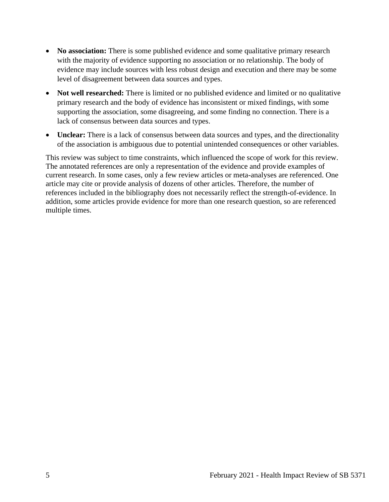- **No association:** There is some published evidence and some qualitative primary research with the majority of evidence supporting no association or no relationship. The body of evidence may include sources with less robust design and execution and there may be some level of disagreement between data sources and types.
- **Not well researched:** There is limited or no published evidence and limited or no qualitative primary research and the body of evidence has inconsistent or mixed findings, with some supporting the association, some disagreeing, and some finding no connection. There is a lack of consensus between data sources and types.
- **Unclear:** There is a lack of consensus between data sources and types, and the directionality of the association is ambiguous due to potential unintended consequences or other variables.

This review was subject to time constraints, which influenced the scope of work for this review. The annotated references are only a representation of the evidence and provide examples of current research. In some cases, only a few review articles or meta-analyses are referenced. One article may cite or provide analysis of dozens of other articles. Therefore, the number of references included in the bibliography does not necessarily reflect the strength-of-evidence. In addition, some articles provide evidence for more than one research question, so are referenced multiple times.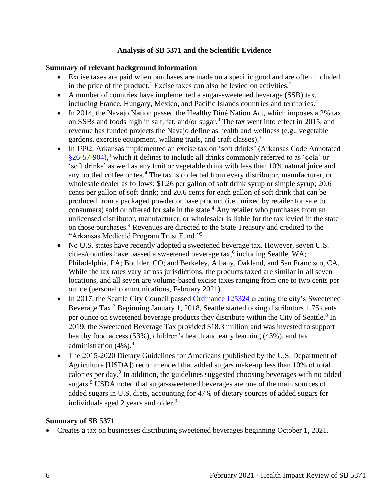## **Analysis of SB 5371 and the Scientific Evidence**

#### <span id="page-5-0"></span>**Summary of relevant background information**

- Excise taxes are paid when purchases are made on a specific good and are often included in the price of the product.<sup>1</sup> Excise taxes can also be levied on activities.<sup>1</sup>
- A number of countries have implemented a sugar-sweetened beverage (SSB) tax, including France, Hungary, Mexico, and Pacific Islands countries and territories.<sup>2</sup>
- In 2014, the Navajo Nation passed the Healthy Diné Nation Act, which imposes a 2% tax on SSBs and foods high in salt, fat, and/or sugar.<sup>3</sup> The tax went into effect in 2015, and revenue has funded projects the Navajo define as health and wellness (e.g., vegetable gardens, exercise equipment, walking trails, and craft classes).<sup>3</sup>
- In 1992, Arkansas implemented an excise tax on 'soft drinks' (Arkansas Code Annotated [§26-57-904\)](https://advance.lexis.com/documentpage/?pdmfid=1000516&crid=873bdc6a-2ad5-490b-a98c-c4de5621becf&config=00JAA2ZjZiM2VhNS0wNTVlLTQ3NzUtYjQzYy0yYWZmODJiODRmMDYKAFBvZENhdGFsb2fXiYCnsel0plIgqpYkw9PK&pddocfullpath=%2Fshared%2Fdocument%2Fstatutes-legislation%2Furn%3AcontentItem%3A5P56-VMX0-R03N-522P-00008-00&pdcontentcomponentid=234170&pdteaserkey=sr0&pditab=allpods&ecomp=L5w_kkk&earg=sr0&prid=6f37e47c-8b50-4dbb-90b9-8e47c8e734d3),<sup>4</sup> which it defines to include all drinks commonly referred to as 'cola' or 'soft drinks' as well as any fruit or vegetable drink with less than 10% natural juice and any bottled coffee or tea.<sup>4</sup> The tax is collected from every distributor, manufacturer, or wholesale dealer as follows: \$1.26 per gallon of soft drink syrup or simple syrup; 20.6 cents per gallon of soft drink; and 20.6 cents for each gallon of soft drink that can be produced from a packaged powder or base product (i.e., mixed by retailer for sale to consumers) sold or offered for sale in the state.<sup>4</sup> Any retailer who purchases from an unlicensed distributor, manufacturer, or wholesaler is liable for the tax levied in the state on those purchases.<sup>4</sup> Revenues are directed to the State Treasury and credited to the "Arkansas Medicaid Program Trust Fund." 5
- No U.S. states have recently adopted a sweetened beverage tax. However, seven U.S. cities/counties have passed a sweetened beverage tax, 6 including Seattle, WA; Philadelphia, PA; Boulder, CO; and Berkeley, Albany, Oakland, and San Francisco, CA. While the tax rates vary across jurisdictions, the products taxed are similar in all seven locations, and all seven are volume-based excise taxes ranging from one to two cents per ounce (personal communications, February 2021).
- In 2017, the Seattle City Council passed [Ordinance 125324](http://seattle.legistar.com/View.ashx?M=F&ID=5246235&GUID=FA389302-A085-4AC7-8AB1-60F41C4B4DD0) creating the city's Sweetened Beverage Tax.<sup>7</sup> Beginning January 1, 2018, Seattle started taxing distributors 1.75 cents per ounce on sweetened beverage products they distribute within the City of Seattle.<sup>8</sup> In 2019, the Sweetened Beverage Tax provided \$18.3 million and was invested to support healthy food access (53%), children's health and early learning (43%), and tax administration  $(4\%)$ .<sup>8</sup>
- The 2015-2020 Dietary Guidelines for Americans (published by the U.S. Department of Agriculture [USDA]) recommended that added sugars make-up less than 10% of total calories per day. 9 In addition, the guidelines suggested choosing beverages with no added sugars.<sup>9</sup> USDA noted that sugar-sweetened beverages are one of the main sources of added sugars in U.S. diets, accounting for 47% of dietary sources of added sugars for individuals aged 2 years and older. $9$

#### **Summary of SB 5371**

• Creates a tax on businesses distributing sweetened beverages beginning October 1, 2021.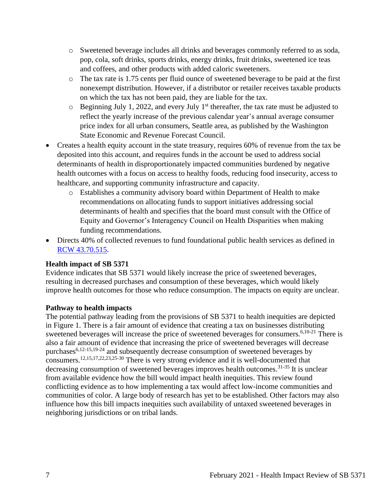- o Sweetened beverage includes all drinks and beverages commonly referred to as soda, pop, cola, soft drinks, sports drinks, energy drinks, fruit drinks, sweetened ice teas and coffees, and other products with added caloric sweeteners.
- o The tax rate is 1.75 cents per fluid ounce of sweetened beverage to be paid at the first nonexempt distribution. However, if a distributor or retailer receives taxable products on which the tax has not been paid, they are liable for the tax.
- $\circ$  Beginning July 1, 2022, and every July 1<sup>st</sup> thereafter, the tax rate must be adjusted to reflect the yearly increase of the previous calendar year's annual average consumer price index for all urban consumers, Seattle area, as published by the Washington State Economic and Revenue Forecast Council.
- Creates a health equity account in the state treasury, requires 60% of revenue from the tax be deposited into this account, and requires funds in the account be used to address social determinants of health in disproportionately impacted communities burdened by negative health outcomes with a focus on access to healthy foods, reducing food insecurity, access to healthcare, and supporting community infrastructure and capacity.
	- o Establishes a community advisory board within Department of Health to make recommendations on allocating funds to support initiatives addressing social determinants of health and specifies that the board must consult with the Office of Equity and Governor's Interagency Council on Health Disparities when making funding recommendations.
- Directs 40% of collected revenues to fund foundational public health services as defined in [RCW 43.70.515.](https://app.leg.wa.gov/RCW/default.aspx?cite=43.70.515#:~:text=(1)%20With%20any%20state%20funding,the%20governmental%20public%20health%20system.)

## **Health impact of SB 5371**

Evidence indicates that SB 5371 would likely increase the price of sweetened beverages, resulting in decreased purchases and consumption of these beverages, which would likely improve health outcomes for those who reduce consumption. The impacts on equity are unclear.

#### **Pathway to health impacts**

The potential pathway leading from the provisions of SB 5371 to health inequities are depicted in Figure 1. There is a fair amount of evidence that creating a tax on businesses distributing sweetened beverages will increase the price of sweetened beverages for consumers.<sup>6,10-21</sup> There is also a fair amount of evidence that increasing the price of sweetened beverages will decrease purchases $6,12-15,19-24$  and subsequently decrease consumption of sweetened beverages by consumers.12,15,17,22,23,25-30 There is very strong evidence and it is well-documented that decreasing consumption of sweetened beverages improves health outcomes.<sup>31-35</sup> It is unclear from available evidence how the bill would impact health inequities. This review found conflicting evidence as to how implementing a tax would affect low-income communities and communities of color. A large body of research has yet to be established. Other factors may also influence how this bill impacts inequities such availability of untaxed sweetened beverages in neighboring jurisdictions or on tribal lands.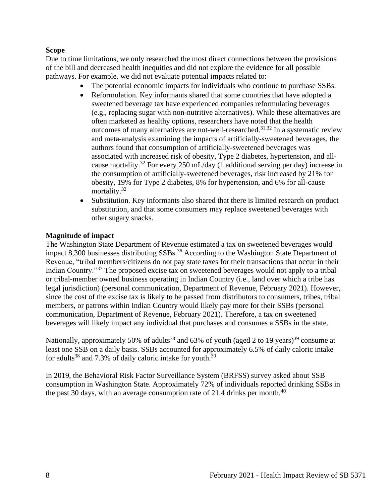#### **Scope**

Due to time limitations, we only researched the most direct connections between the provisions of the bill and decreased health inequities and did not explore the evidence for all possible pathways. For example, we did not evaluate potential impacts related to:

- The potential economic impacts for individuals who continue to purchase SSBs.
- Reformulation. Key informants shared that some countries that have adopted a sweetened beverage tax have experienced companies reformulating beverages (e.g., replacing sugar with non-nutritive alternatives). While these alternatives are often marketed as healthy options, researchers have noted that the health outcomes of many alternatives are not-well-researched. 31,32 In a systematic review and meta-analysis examining the impacts of artificially-sweetened beverages, the authors found that consumption of artificially-sweetened beverages was associated with increased risk of obesity, Type 2 diabetes, hypertension, and allcause mortality.<sup>32</sup> For every 250 mL/day (1 additional serving per day) increase in the consumption of artificially-sweetened beverages, risk increased by 21% for obesity, 19% for Type 2 diabetes, 8% for hypertension, and 6% for all-cause mortality.<sup>32</sup>
- Substitution. Key informants also shared that there is limited research on product substitution, and that some consumers may replace sweetened beverages with other sugary snacks.

## **Magnitude of impact**

The Washington State Department of Revenue estimated a tax on sweetened beverages would impact 8,300 businesses distributing SSBs.<sup>36</sup> According to the Washington State Department of Revenue, "tribal members/citizens do not pay state taxes for their transactions that occur in their Indian Country."<sup>37</sup> The proposed excise tax on sweetened beverages would not apply to a tribal or tribal-member owned business operating in Indian Country (i.e., land over which a tribe has legal jurisdiction) (personal communication, Department of Revenue, February 2021). However, since the cost of the excise tax is likely to be passed from distributors to consumers, tribes, tribal members, or patrons within Indian Country would likely pay more for their SSBs (personal communication, Department of Revenue, February 2021). Therefore, a tax on sweetened beverages will likely impact any individual that purchases and consumes a SSBs in the state.

Nationally, approximately 50% of adults<sup>38</sup> and 63% of youth (aged 2 to 19 years)<sup>39</sup> consume at least one SSB on a daily basis. SSBs accounted for approximately 6.5% of daily caloric intake for adults<sup>38</sup> and 7.3% of daily caloric intake for youth.<sup>39</sup>

In 2019, the Behavioral Risk Factor Surveillance System (BRFSS) survey asked about SSB consumption in Washington State. Approximately 72% of individuals reported drinking SSBs in the past 30 days, with an average consumption rate of 21.4 drinks per month.<sup>40</sup>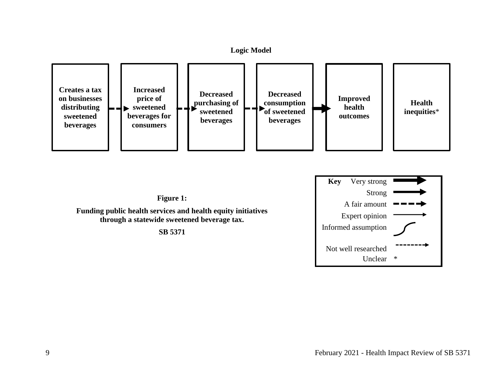<span id="page-8-0"></span>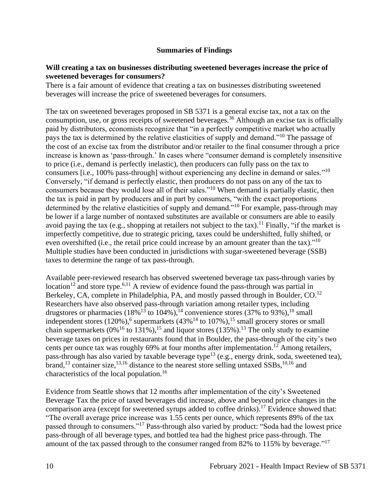## **Summaries of Findings**

## <span id="page-9-0"></span>**Will creating a tax on businesses distributing sweetened beverages increase the price of sweetened beverages for consumers?**

There is a fair amount of evidence that creating a tax on businesses distributing sweetened beverages will increase the price of sweetened beverages for consumers.

The tax on sweetened beverages proposed in SB 5371 is a general excise tax, not a tax on the consumption, use, or gross receipts of sweetened beverages.<sup>36</sup> Although an excise tax is officially paid by distributors, economists recognize that "in a perfectly competitive market who actually pays the tax is determined by the relative elasticities of supply and demand."<sup>10</sup> The passage of the cost of an excise tax from the distributor and/or retailer to the final consumer through a price increase is known as 'pass-through.' In cases where "consumer demand is completely insensitive to price (i.e., demand is perfectly inelastic), then producers can fully pass on the tax to consumers [i.e., 100% pass-through] without experiencing any decline in demand or sales."<sup>10</sup> Conversely, "if demand is perfectly elastic, then producers do not pass on any of the tax to consumers because they would lose all of their sales."<sup>10</sup> When demand is partially elastic, then the tax is paid in part by producers and in part by consumers, "with the exact proportions determined by the relative elasticities of supply and demand."<sup>10</sup> For example, pass-through may be lower if a large number of nontaxed substitutes are available or consumers are able to easily avoid paying the tax (e.g., shopping at retailers not subject to the tax).<sup>11</sup> Finally, "if the market is imperfectly competitive, due to strategic pricing, taxes could be undershifted, fully shifted, or even overshifted (i.e., the retail price could increase by an amount greater than the tax)."<sup>10</sup> Multiple studies have been conducted in jurisdictions with sugar-sweetened beverage (SSB) taxes to determine the range of tax pass-through.

Available peer-reviewed research has observed sweetened beverage tax pass-through varies by location<sup>12</sup> and store type.<sup>6,11</sup> A review of evidence found the pass-through was partial in Berkeley, CA, complete in Philadelphia, PA, and mostly passed through in Boulder, CO.<sup>12</sup> Researchers have also observed pass-through variation among retailer types, including drugstores or pharmacies (18%<sup>13</sup> to 104%),<sup>14</sup> convenience stores (37% to 93%),<sup>10</sup> small independent stores  $(120\%)$ , supermarkets  $(43\%$ <sup>14</sup> to 107%), <sup>15</sup> small grocery stores or small chain supermarkets  $(0\%$ <sup>16</sup> to 131%),<sup>15</sup> and liquor stores  $(135\%)$ .<sup>13</sup> The only study to examine beverage taxes on prices in restaurants found that in Boulder, the pass-through of the city's two cents per ounce tax was roughly 69% at four months after implementation.<sup>12</sup> Among retailers, pass-through has also varied by taxable beverage type<sup>13</sup> (e.g., energy drink, soda, sweetened tea), brand,<sup>13</sup> container size,<sup>13,16</sup> distance to the nearest store selling untaxed SSBs,<sup>10,16</sup> and characteristics of the local population.<sup>16</sup>

Evidence from Seattle shows that 12 months after implementation of the city's Sweetened Beverage Tax the price of taxed beverages did increase, above and beyond price changes in the comparison area (except for sweetened syrups added to coffee drinks).<sup>17</sup> Evidence showed that: "The overall average price increase was 1.55 cents per ounce, which represents 89% of the tax passed through to consumers."<sup>17</sup> Pass-through also varied by product: "Soda had the lowest price pass-through of all beverage types, and bottled tea had the highest price pass-through. The amount of the tax passed through to the consumer ranged from 82% to 115% by beverage."<sup>17</sup>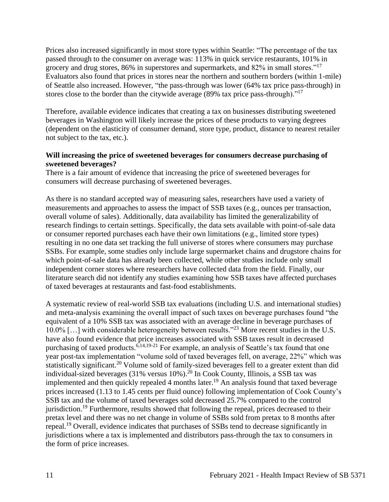Prices also increased significantly in most store types within Seattle: "The percentage of the tax passed through to the consumer on average was: 113% in quick service restaurants, 101% in grocery and drug stores, 86% in superstores and supermarkets, and 82% in small stores."<sup>17</sup> Evaluators also found that prices in stores near the northern and southern borders (within 1-mile) of Seattle also increased. However, "the pass-through was lower (64% tax price pass-through) in stores close to the border than the citywide average (89% tax price pass-through)."<sup>17</sup>

Therefore, available evidence indicates that creating a tax on businesses distributing sweetened beverages in Washington will likely increase the prices of these products to varying degrees (dependent on the elasticity of consumer demand, store type, product, distance to nearest retailer not subject to the tax, etc.).

## **Will increasing the price of sweetened beverages for consumers decrease purchasing of sweetened beverages?**

There is a fair amount of evidence that increasing the price of sweetened beverages for consumers will decrease purchasing of sweetened beverages.

As there is no standard accepted way of measuring sales, researchers have used a variety of measurements and approaches to assess the impact of SSB taxes (e.g., ounces per transaction, overall volume of sales). Additionally, data availability has limited the generalizability of research findings to certain settings. Specifically, the data sets available with point-of-sale data or consumer reported purchases each have their own limitations (e.g., limited store types) resulting in no one data set tracking the full universe of stores where consumers may purchase SSBs. For example, some studies only include large supermarket chains and drugstore chains for which point-of-sale data has already been collected, while other studies include only small independent corner stores where researchers have collected data from the field. Finally, our literature search did not identify any studies examining how SSB taxes have affected purchases of taxed beverages at restaurants and fast-food establishments.

A systematic review of real-world SSB tax evaluations (including U.S. and international studies) and meta-analysis examining the overall impact of such taxes on beverage purchases found "the equivalent of a 10% SSB tax was associated with an average decline in beverage purchases of 10.0% […] with considerable heterogeneity between results."<sup>23</sup> More recent studies in the U.S. have also found evidence that price increases associated with SSB taxes result in decreased purchasing of taxed products.  $6,14,19-21$  For example, an analysis of Seattle's tax found that one year post-tax implementation "volume sold of taxed beverages fell, on average, 22%" which was statistically significant.<sup>20</sup> Volume sold of family-sized beverages fell to a greater extent than did individual-sized beverages (31% versus 10%).<sup>20</sup> In Cook County, Illinois, a SSB tax was implemented and then quickly repealed 4 months later.<sup>19</sup> An analysis found that taxed beverage prices increased (1.13 to 1.45 cents per fluid ounce) following implementation of Cook County's SSB tax and the volume of taxed beverages sold decreased 25.7% compared to the control jurisdiction.<sup>19</sup> Furthermore, results showed that following the repeal, prices decreased to their pretax level and there was no net change in volume of SSBs sold from pretax to 8 months after repeal.<sup>19</sup> Overall, evidence indicates that purchases of SSBs tend to decrease significantly in jurisdictions where a tax is implemented and distributors pass-through the tax to consumers in the form of price increases.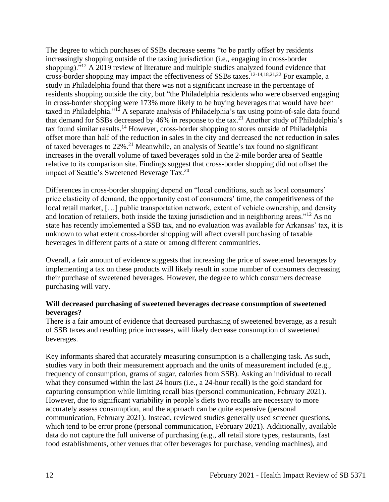The degree to which purchases of SSBs decrease seems "to be partly offset by residents increasingly shopping outside of the taxing jurisdiction (i.e., engaging in cross-border shopping)."<sup>12</sup> A 2019 review of literature and multiple studies analyzed found evidence that cross-border shopping may impact the effectiveness of SSBs taxes.12-14,18,21,22 For example, a study in Philadelphia found that there was not a significant increase in the percentage of residents shopping outside the city, but "the Philadelphia residents who were observed engaging in cross-border shopping were 173% more likely to be buying beverages that would have been taxed in Philadelphia."<sup>12</sup> A separate analysis of Philadelphia's tax using point-of-sale data found that demand for SSBs decreased by 46% in response to the tax.<sup>21</sup> Another study of Philadelphia's tax found similar results.<sup>14</sup> However, cross-border shopping to stores outside of Philadelphia offset more than half of the reduction in sales in the city and decreased the net reduction in sales of taxed beverages to  $22\%$ <sup>21</sup> Meanwhile, an analysis of Seattle's tax found no significant increases in the overall volume of taxed beverages sold in the 2-mile border area of Seattle relative to its comparison site. Findings suggest that cross-border shopping did not offset the impact of Seattle's Sweetened Beverage Tax.<sup>20</sup>

Differences in cross-border shopping depend on "local conditions, such as local consumers' price elasticity of demand, the opportunity cost of consumers' time, the competitiveness of the local retail market, […] public transportation network, extent of vehicle ownership, and density and location of retailers, both inside the taxing jurisdiction and in neighboring areas."<sup>12</sup> As no state has recently implemented a SSB tax, and no evaluation was available for Arkansas' tax, it is unknown to what extent cross-border shopping will affect overall purchasing of taxable beverages in different parts of a state or among different communities.

Overall, a fair amount of evidence suggests that increasing the price of sweetened beverages by implementing a tax on these products will likely result in some number of consumers decreasing their purchase of sweetened beverages. However, the degree to which consumers decrease purchasing will vary.

## **Will decreased purchasing of sweetened beverages decrease consumption of sweetened beverages?**

There is a fair amount of evidence that decreased purchasing of sweetened beverage, as a result of SSB taxes and resulting price increases, will likely decrease consumption of sweetened beverages.

Key informants shared that accurately measuring consumption is a challenging task. As such, studies vary in both their measurement approach and the units of measurement included (e.g., frequency of consumption, grams of sugar, calories from SSB). Asking an individual to recall what they consumed within the last 24 hours (i.e., a 24-hour recall) is the gold standard for capturing consumption while limiting recall bias (personal communication, February 2021). However, due to significant variability in people's diets two recalls are necessary to more accurately assess consumption, and the approach can be quite expensive (personal communication, February 2021). Instead, reviewed studies generally used screener questions, which tend to be error prone (personal communication, February 2021). Additionally, available data do not capture the full universe of purchasing (e.g., all retail store types, restaurants, fast food establishments, other venues that offer beverages for purchase, vending machines), and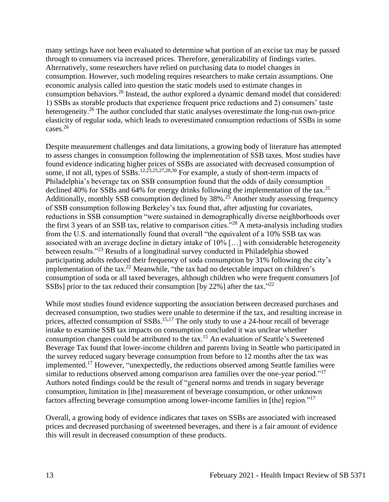many settings have not been evaluated to determine what portion of an excise tax may be passed through to consumers via increased prices. Therefore, generalizability of findings varies. Alternatively, some researchers have relied on purchasing data to model changes in consumption. However, such modeling requires researchers to make certain assumptions. One economic analysis called into question the static models used to estimate changes in consumption behaviors.<sup>26</sup> Instead, the author explored a dynamic demand model that considered: 1) SSBs as storable products that experience frequent price reductions and 2) consumers' taste heterogeneity.<sup>26</sup> The author concluded that static analyses overestimate the long-run own-price elasticity of regular soda, which leads to overestimated consumption reductions of SSBs in some cases.<sup>26</sup>

Despite measurement challenges and data limitations, a growing body of literature has attempted to assess changes in consumption following the implementation of SSB taxes. Most studies have found evidence indicating higher prices of SSBs are associated with decreased consumption of some, if not all, types of SSBs.12,23,25,27,28,30 For example, a study of short-term impacts of Philadelphia's beverage tax on SSB consumption found that the odds of daily consumption declined 40% for SSBs and 64% for energy drinks following the implementation of the tax.<sup>25</sup> Additionally, monthly SSB consumption declined by 38%.<sup>25</sup> Another study assessing frequency of SSB consumption following Berkeley's tax found that, after adjusting for covariates, reductions in SSB consumption "were sustained in demographically diverse neighborhoods over the first 3 years of an SSB tax, relative to comparison cities."<sup>28</sup> A meta-analysis including studies from the U.S. and internationally found that overall "the equivalent of a 10% SSB tax was associated with an average decline in dietary intake of 10% […] with considerable heterogeneity between results."<sup>23</sup> Results of a longitudinal survey conducted in Philadelphia showed participating adults reduced their frequency of soda consumption by 31% following the city's implementation of the tax.<sup>22</sup> Meanwhile, "the tax had no detectable impact on children's consumption of soda or all taxed beverages, although children who were frequent consumers [of SSBs] prior to the tax reduced their consumption [by 22%] after the tax."<sup>22</sup>

While most studies found evidence supporting the association between decreased purchases and decreased consumption, two studies were unable to determine if the tax, and resulting increase in prices, affected consumption of SSBs.<sup>15,17</sup> The only study to use a 24-hour recall of beverage intake to examine SSB tax impacts on consumption concluded it was unclear whether consumption changes could be attributed to the tax.<sup>15</sup> An evaluation of Seattle's Sweetened Beverage Tax found that lower-income children and parents living in Seattle who participated in the survey reduced sugary beverage consumption from before to 12 months after the tax was implemented.<sup>17</sup> However, "unexpectedly, the reductions observed among Seattle families were similar to reductions observed among comparison area families over the one-year period."<sup>17</sup> Authors noted findings could be the result of "general norms and trends in sugary beverage consumption, limitation in [the] measurement of beverage consumption, or other unknown factors affecting beverage consumption among lower-income families in [the] region."<sup>17</sup>

Overall, a growing body of evidence indicates that taxes on SSBs are associated with increased prices and decreased purchasing of sweetened beverages, and there is a fair amount of evidence this will result in decreased consumption of these products.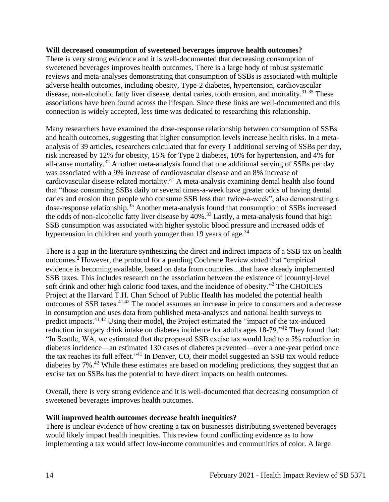#### **Will decreased consumption of sweetened beverages improve health outcomes?**

There is very strong evidence and it is well-documented that decreasing consumption of sweetened beverages improves health outcomes. There is a large body of robust systematic reviews and meta-analyses demonstrating that consumption of SSBs is associated with multiple adverse health outcomes, including obesity, Type-2 diabetes, hypertension, cardiovascular disease, non-alcoholic fatty liver disease, dental caries, tooth erosion, and mortality.<sup>31-35</sup> These associations have been found across the lifespan. Since these links are well-documented and this connection is widely accepted, less time was dedicated to researching this relationship.

Many researchers have examined the dose-response relationship between consumption of SSBs and health outcomes, suggesting that higher consumption levels increase health risks. In a metaanalysis of 39 articles, researchers calculated that for every 1 additional serving of SSBs per day, risk increased by 12% for obesity, 15% for Type 2 diabetes, 10% for hypertension, and 4% for all-cause mortality.<sup>32</sup> Another meta-analysis found that one additional serving of SSBs per day was associated with a 9% increase of cardiovascular disease and an 8% increase of cardiovascular disease-related mortality.<sup>31</sup> A meta-analysis examining dental health also found that "those consuming SSBs daily or several times-a-week have greater odds of having dental caries and erosion than people who consume SSB less than twice-a-week", also demonstrating a dose-response relationship.<sup>35</sup> Another meta-analysis found that consumption of SSBs increased the odds of non-alcoholic fatty liver disease by  $40\%$ .<sup>33</sup> Lastly, a meta-analysis found that high SSB consumption was associated with higher systolic blood pressure and increased odds of hypertension in children and youth younger than 19 years of age.<sup>34</sup>

There is a gap in the literature synthesizing the direct and indirect impacts of a SSB tax on health outcomes.<sup>2</sup> However, the protocol for a pending Cochrane Review stated that "empirical evidence is becoming available, based on data from countries…that have already implemented SSB taxes. This includes research on the association between the existence of [country]-level soft drink and other high caloric food taxes, and the incidence of obesity."<sup>2</sup> The CHOICES Project at the Harvard T.H. Chan School of Public Health has modeled the potential health outcomes of SSB taxes.41,42 The model assumes an increase in price to consumers and a decrease in consumption and uses data from published meta-analyses and national health surveys to predict impacts.41,42 Using their model, the Project estimated the "impact of the tax-induced reduction in sugary drink intake on diabetes incidence for adults ages 18-79.<sup>"42</sup> They found that: "In Seattle, WA, we estimated that the proposed SSB excise tax would lead to a 5% reduction in diabetes incidence—an estimated 130 cases of diabetes prevented—over a one-year period once the tax reaches its full effect."<sup>41</sup> In Denver, CO, their model suggested an SSB tax would reduce diabetes by 7%.<sup>42</sup> While these estimates are based on modeling predictions, they suggest that an excise tax on SSBs has the potential to have direct impacts on health outcomes.

Overall, there is very strong evidence and it is well-documented that decreasing consumption of sweetened beverages improves health outcomes.

#### **Will improved health outcomes decrease health inequities?**

There is unclear evidence of how creating a tax on businesses distributing sweetened beverages would likely impact health inequities. This review found conflicting evidence as to how implementing a tax would affect low-income communities and communities of color. A large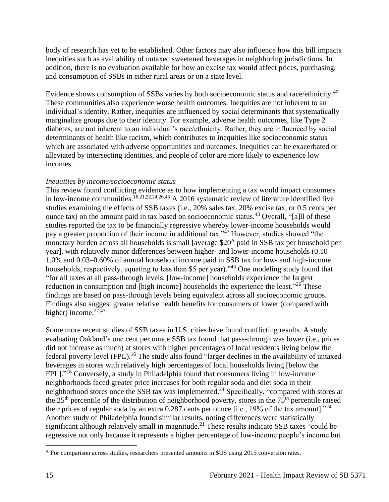body of research has yet to be established. Other factors may also influence how this bill impacts inequities such as availability of untaxed sweetened beverages in neighboring jurisdictions. In addition, there is no evaluation available for how an excise tax would affect prices, purchasing, and consumption of SSBs in either rural areas or on a state level.

Evidence shows consumption of SSBs varies by both socioeconomic status and race/ethnicity.<sup>40</sup> These communities also experience worse health outcomes. Inequities are not inherent to an individual's identity. Rather, inequities are influenced by social determinants that systematically marginalize groups due to their identity. For example, adverse health outcomes, like Type 2 diabetes, are not inherent to an individual's race/ethnicity. Rather, they are influenced by social determinants of health like racism, which contributes to inequities like socioeconomic status which are associated with adverse opportunities and outcomes. Inequities can be exacerbated or alleviated by intersecting identities, and people of color are more likely to experience low incomes.

## *Inequities by income/socioeconomic status*

This review found conflicting evidence as to how implementing a tax would impact consumers in low-income communities.  $16,21,22,24,26,43$  A 2016 systematic review of literature identified five studies examining the effects of SSB taxes (i.e., 20% sales tax, 20% excise tax, or 0.5 cents per ounce tax) on the amount paid in tax based on socioeconomic status.<sup>43</sup> Overall, "[a]ll of these studies reported the tax to be financially regressive whereby lower-income households would pay a greater proportion of their income in additional tax."<sup>43</sup> However, studies showed "the monetary burden across all households is small [average \$20<sup>A</sup> paid in SSB tax per household per year], with relatively minor differences between higher- and lower-income households (0.10– 1.0% and 0.03–0.60% of annual household income paid in SSB tax for low- and high-income households, respectively, equating to less than \$5 per year)."<sup>43</sup> One modeling study found that "for all taxes at all pass-through levels, [low-income] households experience the largest reduction in consumption and [high income] households the experience the least."<sup>26</sup> These findings are based on pass-through levels being equivalent across all socioeconomic groups. Findings also suggest greater relative health benefits for consumers of lower (compared with higher) income. $27,43$ 

Some more recent studies of SSB taxes in U.S. cities have found conflicting results. A study evaluating Oakland's one cent per ounce SSB tax found that pass-through was lower (i.e., prices did not increase as much) at stores with higher percentages of local residents living below the federal poverty level (FPL).<sup>16</sup> The study also found "larger declines in the availability of untaxed beverages in stores with relatively high percentages of local households living [below the FPL]."<sup>16</sup> Conversely, a study in Philadelphia found that consumers living in low-income neighborhoods faced greater price increases for both regular soda and diet soda in their neighborhood stores once the SSB tax was implemented.<sup>24</sup> Specifically, "compared with stores at the  $25<sup>th</sup>$  percentile of the distribution of neighborhood poverty, stores in the  $75<sup>th</sup>$  percentile raised their prices of regular soda by an extra 0.287 cents per ounce [i.e., 19% of the tax amount]."<sup>24</sup> Another study of Philadelphia found similar results, noting differences were statistically significant although relatively small in magnitude.<sup>21</sup> These results indicate SSB taxes "could be regressive not only because it represents a higher percentage of low-income people's income but

<sup>&</sup>lt;sup>A</sup> For comparison across studies, researchers presented amounts in \$US using 2015 conversion rates.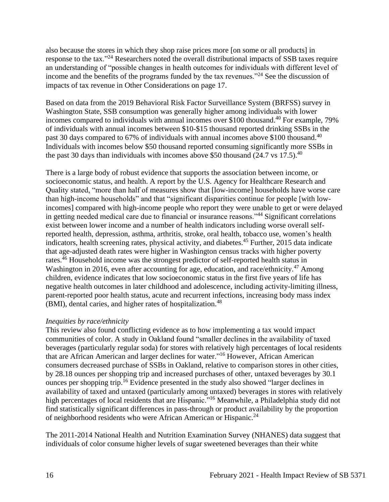also because the stores in which they shop raise prices more [on some or all products] in response to the tax."<sup>24</sup> Researchers noted the overall distributional impacts of SSB taxes require an understanding of "possible changes in health outcomes for individuals with different level of income and the benefits of the programs funded by the tax revenues."<sup>24</sup> See the discussion of impacts of tax revenue in Other Considerations on page 17.

Based on data from the 2019 Behavioral Risk Factor Surveillance System (BRFSS) survey in Washington State, SSB consumption was generally higher among individuals with lower incomes compared to individuals with annual incomes over \$100 thousand.<sup>40</sup> For example, 79% of individuals with annual incomes between \$10-\$15 thousand reported drinking SSBs in the past 30 days compared to 67% of individuals with annual incomes above \$100 thousand.<sup>40</sup> Individuals with incomes below \$50 thousand reported consuming significantly more SSBs in the past 30 days than individuals with incomes above \$50 thousand  $(24.7 \text{ vs } 17.5)^{40}$ 

There is a large body of robust evidence that supports the association between income, or socioeconomic status, and health. A report by the U.S. Agency for Healthcare Research and Quality stated, "more than half of measures show that [low-income] households have worse care than high-income households" and that "significant disparities continue for people [with lowincomes] compared with high-income people who report they were unable to get or were delayed in getting needed medical care due to financial or insurance reasons."<sup>44</sup> Significant correlations exist between lower income and a number of health indicators including worse overall selfreported health, depression, asthma, arthritis, stroke, oral health, tobacco use, women's health indicators, health screening rates, physical activity, and diabetes.<sup>45</sup> Further, 2015 data indicate that age-adjusted death rates were higher in Washington census tracks with higher poverty rates.<sup>46</sup> Household income was the strongest predictor of self-reported health status in Washington in 2016, even after accounting for age, education, and race/ethnicity.<sup>47</sup> Among children, evidence indicates that low socioeconomic status in the first five years of life has negative health outcomes in later childhood and adolescence, including activity-limiting illness, parent-reported poor health status, acute and recurrent infections, increasing body mass index (BMI), dental caries, and higher rates of hospitalization.<sup>48</sup>

## *Inequities by race/ethnicity*

This review also found conflicting evidence as to how implementing a tax would impact communities of color. A study in Oakland found "smaller declines in the availability of taxed beverages (particularly regular soda) for stores with relatively high percentages of local residents that are African American and larger declines for water."<sup>16</sup> However, African American consumers decreased purchase of SSBs in Oakland, relative to comparison stores in other cities, by 28.18 ounces per shopping trip and increased purchases of other, untaxed beverages by 30.1 ounces per shopping trip.<sup>16</sup> Evidence presented in the study also showed "larger declines in availability of taxed and untaxed (particularly among untaxed) beverages in stores with relatively high percentages of local residents that are Hispanic."<sup>16</sup> Meanwhile, a Philadelphia study did not find statistically significant differences in pass-through or product availability by the proportion of neighborhood residents who were African American or Hispanic.<sup>24</sup>

The 2011-2014 National Health and Nutrition Examination Survey (NHANES) data suggest that individuals of color consume higher levels of sugar sweetened beverages than their white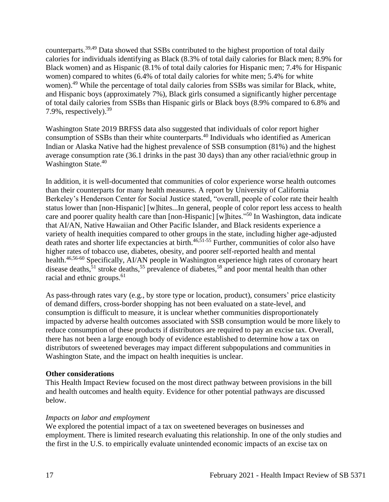counterparts.39,49 Data showed that SSBs contributed to the highest proportion of total daily calories for individuals identifying as Black (8.3% of total daily calories for Black men; 8.9% for Black women) and as Hispanic (8.1% of total daily calories for Hispanic men; 7.4% for Hispanic women) compared to whites (6.4% of total daily calories for white men; 5.4% for white women).<sup>49</sup> While the percentage of total daily calories from SSBs was similar for Black, white, and Hispanic boys (approximately 7%), Black girls consumed a significantly higher percentage of total daily calories from SSBs than Hispanic girls or Black boys (8.9% compared to 6.8% and 7.9%, respectively).  $39$ 

Washington State 2019 BRFSS data also suggested that individuals of color report higher consumption of SSBs than their white counterparts. <sup>40</sup> Individuals who identified as American Indian or Alaska Native had the highest prevalence of SSB consumption (81%) and the highest average consumption rate (36.1 drinks in the past 30 days) than any other racial/ethnic group in Washington State.<sup>40</sup>

In addition, it is well-documented that communities of color experience worse health outcomes than their counterparts for many health measures. A report by University of California Berkeley's Henderson Center for Social Justice stated, "overall, people of color rate their health status lower than [non-Hispanic] [w]hites...In general, people of color report less access to health care and poorer quality health care than [non-Hispanic] [w]hites."<sup>50</sup> In Washington, data indicate that AI/AN, Native Hawaiian and Other Pacific Islander, and Black residents experience a variety of health inequities compared to other groups in the state, including higher age-adjusted death rates and shorter life expectancies at birth.<sup>46,51-55</sup> Further, communities of color also have higher rates of tobacco use, diabetes, obesity, and poorer self-reported health and mental health.<sup>46,56-60</sup> Specifically, AI/AN people in Washington experience high rates of coronary heart disease deaths,  $51$  stroke deaths,  $55$  prevalence of diabetes,  $58$  and poor mental health than other racial and ethnic groups.<sup>61</sup>

As pass-through rates vary (e.g., by store type or location, product), consumers' price elasticity of demand differs, cross-border shopping has not been evaluated on a state-level, and consumption is difficult to measure, it is unclear whether communities disproportionately impacted by adverse health outcomes associated with SSB consumption would be more likely to reduce consumption of these products if distributors are required to pay an excise tax. Overall, there has not been a large enough body of evidence established to determine how a tax on distributors of sweetened beverages may impact different subpopulations and communities in Washington State, and the impact on health inequities is unclear.

#### **Other considerations**

This Health Impact Review focused on the most direct pathway between provisions in the bill and health outcomes and health equity. Evidence for other potential pathways are discussed below.

#### *Impacts on labor and employment*

We explored the potential impact of a tax on sweetened beverages on businesses and employment. There is limited research evaluating this relationship. In one of the only studies and the first in the U.S. to empirically evaluate unintended economic impacts of an excise tax on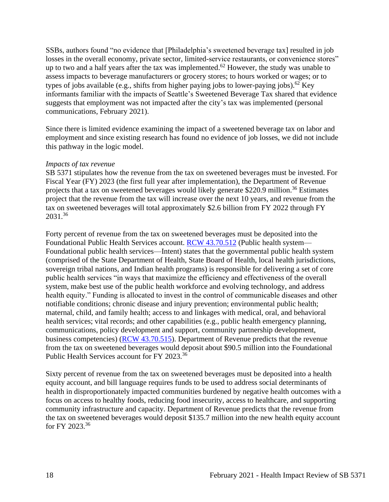SSBs, authors found "no evidence that [Philadelphia's sweetened beverage tax] resulted in job losses in the overall economy, private sector, limited-service restaurants, or convenience stores" up to two and a half years after the tax was implemented.<sup>62</sup> However, the study was unable to assess impacts to beverage manufacturers or grocery stores; to hours worked or wages; or to types of jobs available (e.g., shifts from higher paying jobs to lower-paying jobs).<sup>62</sup> Key informants familiar with the impacts of Seattle's Sweetened Beverage Tax shared that evidence suggests that employment was not impacted after the city's tax was implemented (personal communications, February 2021).

Since there is limited evidence examining the impact of a sweetened beverage tax on labor and employment and since existing research has found no evidence of job losses, we did not include this pathway in the logic model.

#### *Impacts of tax revenue*

SB 5371 stipulates how the revenue from the tax on sweetened beverages must be invested. For Fiscal Year (FY) 2023 (the first full year after implementation), the Department of Revenue projects that a tax on sweetened beverages would likely generate \$220.9 million.<sup>36</sup> Estimates project that the revenue from the tax will increase over the next 10 years, and revenue from the tax on sweetened beverages will total approximately \$2.6 billion from FY 2022 through FY 2031.<sup>36</sup>

Forty percent of revenue from the tax on sweetened beverages must be deposited into the Foundational Public Health Services account. [RCW 43.70.512](https://app.leg.wa.gov/RCW/default.aspx?cite=43.70.512) (Public health system— Foundational public health services—Intent) states that the governmental public health system (comprised of the State Department of Health, State Board of Health, local health jurisdictions, sovereign tribal nations, and Indian health programs) is responsible for delivering a set of core public health services "in ways that maximize the efficiency and effectiveness of the overall system, make best use of the public health workforce and evolving technology, and address health equity." Funding is allocated to invest in the control of communicable diseases and other notifiable conditions; chronic disease and injury prevention; environmental public health; maternal, child, and family health; access to and linkages with medical, oral, and behavioral health services; vital records; and other capabilities (e.g., public health emergency planning, communications, policy development and support, community partnership development, business competencies) [\(RCW 43.70.515\)](https://app.leg.wa.gov/RCW/default.aspx?cite=43.70.515). Department of Revenue predicts that the revenue from the tax on sweetened beverages would deposit about \$90.5 million into the Foundational Public Health Services account for FY 2023.<sup>36</sup>

Sixty percent of revenue from the tax on sweetened beverages must be deposited into a health equity account, and bill language requires funds to be used to address social determinants of health in disproportionately impacted communities burdened by negative health outcomes with a focus on access to healthy foods, reducing food insecurity, access to healthcare, and supporting community infrastructure and capacity. Department of Revenue predicts that the revenue from the tax on sweetened beverages would deposit \$135.7 million into the new health equity account for FY 2023.<sup>36</sup>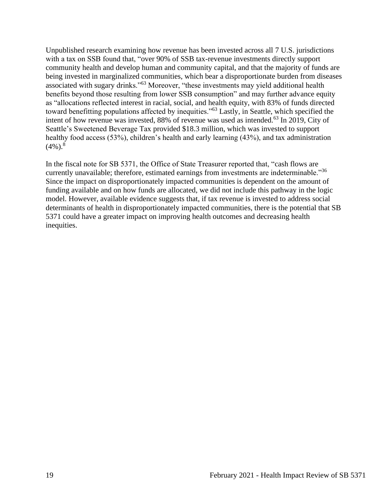Unpublished research examining how revenue has been invested across all 7 U.S. jurisdictions with a tax on SSB found that, "over 90% of SSB tax-revenue investments directly support community health and develop human and community capital, and that the majority of funds are being invested in marginalized communities, which bear a disproportionate burden from diseases associated with sugary drinks."<sup>63</sup> Moreover, "these investments may yield additional health benefits beyond those resulting from lower SSB consumption" and may further advance equity as "allocations reflected interest in racial, social, and health equity, with 83% of funds directed toward benefitting populations affected by inequities."<sup>63</sup> Lastly, in Seattle, which specified the intent of how revenue was invested, 88% of revenue was used as intended.<sup>63</sup> In 2019, City of Seattle's Sweetened Beverage Tax provided \$18.3 million, which was invested to support healthy food access (53%), children's health and early learning (43%), and tax administration  $(4\%)$ .<sup>8</sup>

In the fiscal note for SB 5371, the Office of State Treasurer reported that, "cash flows are currently unavailable; therefore, estimated earnings from investments are indeterminable."<sup>36</sup> Since the impact on disproportionately impacted communities is dependent on the amount of funding available and on how funds are allocated, we did not include this pathway in the logic model. However, available evidence suggests that, if tax revenue is invested to address social determinants of health in disproportionately impacted communities, there is the potential that SB 5371 could have a greater impact on improving health outcomes and decreasing health inequities.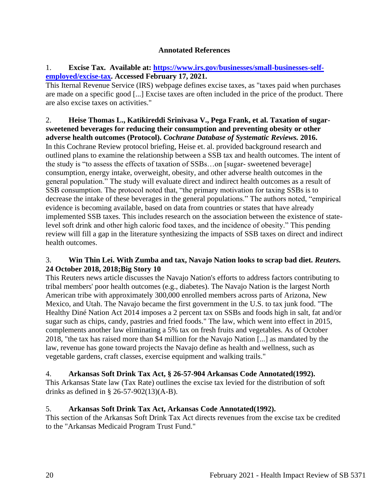## **Annotated References**

## <span id="page-19-0"></span>1. **Excise Tax. Available at: [https://www.irs.gov/businesses/small-businesses-self](https://www.irs.gov/businesses/small-businesses-self-employed/excise-tax)[employed/excise-tax.](https://www.irs.gov/businesses/small-businesses-self-employed/excise-tax) Accessed February 17, 2021.**

This Iternal Revenue Service (IRS) webpage defines excise taxes, as "taxes paid when purchases are made on a specific good [...] Excise taxes are often included in the price of the product. There are also excise taxes on activities."

## 2. **Heise Thomas L., Katikireddi Srinivasa V., Pega Frank, et al. Taxation of sugarsweetened beverages for reducing their consumption and preventing obesity or other adverse health outcomes (Protocol).** *Cochrane Database of Systematic Reviews.* **2016.**

In this Cochrane Review protocol briefing, Heise et. al. provided background research and outlined plans to examine the relationship between a SSB tax and health outcomes. The intent of the study is "to assess the effects of taxation of SSBs…on [sugar- sweetened beverage] consumption, energy intake, overweight, obesity, and other adverse health outcomes in the general population." The study will evaluate direct and indirect health outcomes as a result of SSB consumption. The protocol noted that, "the primary motivation for taxing SSBs is to decrease the intake of these beverages in the general populations." The authors noted, "empirical evidence is becoming available, based on data from countries or states that have already implemented SSB taxes. This includes research on the association between the existence of statelevel soft drink and other high caloric food taxes, and the incidence of obesity." This pending review will fill a gap in the literature synthesizing the impacts of SSB taxes on direct and indirect health outcomes.

## 3. **Win Thin Lei. With Zumba and tax, Navajo Nation looks to scrap bad diet.** *Reuters.* **24 October 2018, 2018;Big Story 10**

This Reuters news article discusses the Navajo Nation's efforts to address factors contributing to tribal members' poor health outcomes (e.g., diabetes). The Navajo Nation is the largest North American tribe with approximately 300,000 enrolled members across parts of Arizona, New Mexico, and Utah. The Navajo became the first government in the U.S. to tax junk food. "The Healthy Diné Nation Act 2014 imposes a 2 percent tax on SSBs and foods high in salt, fat and/or sugar such as chips, candy, pastries and fried foods." The law, which went into effect in 2015, complements another law eliminating a 5% tax on fresh fruits and vegetables. As of October 2018, "the tax has raised more than \$4 million for the Navajo Nation [...] as mandated by the law, revenue has gone toward projects the Navajo define as health and wellness, such as vegetable gardens, craft classes, exercise equipment and walking trails."

## 4. **Arkansas Soft Drink Tax Act, § 26-57-904 Arkansas Code Annotated(1992).**

This Arkansas State law (Tax Rate) outlines the excise tax levied for the distribution of soft drinks as defined in § 26-57-902(13)(A-B).

# 5. **Arkansas Soft Drink Tax Act, Arkansas Code Annotated(1992).**

This section of the Arkansas Soft Drink Tax Act directs revenues from the excise tax be credited to the "Arkansas Medicaid Program Trust Fund."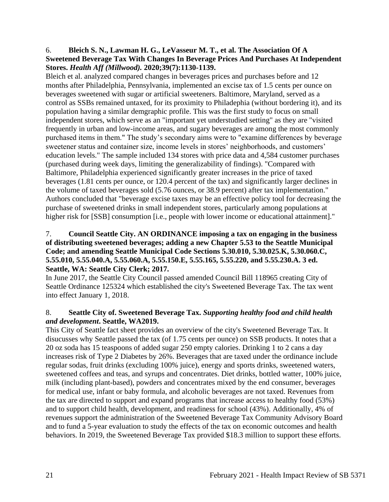#### 6. **Bleich S. N., Lawman H. G., LeVasseur M. T., et al. The Association Of A Sweetened Beverage Tax With Changes In Beverage Prices And Purchases At Independent Stores.** *Health Aff (Millwood).* **2020;39(7):1130-1139.**

Bleich et al. analyzed compared changes in beverages prices and purchases before and 12 months after Philadelphia, Pennsylvania, implemented an excise tax of 1.5 cents per ounce on beverages sweetened with sugar or artificial sweeteners. Baltimore, Maryland, served as a control as SSBs remained untaxed, for its proximity to Philadephia (without bordering it), and its population having a similar demgraphic profile. This was the first study to focus on small independent stores, which serve as an "important yet understudied setting" as they are "visited frequently in urban and low-income areas, and sugary beverages are among the most commonly purchased items in them." The study's secondary aims were to "examine differences by beverage sweetener status and container size, income levels in stores' neighborhoods, and customers' education levels." The sample included 134 stores with price data and 4,584 customer purchases (purchased during week days, limiting the generalizability of findings). "Compared with Baltimore, Philadelphia experienced significantly greater increases in the price of taxed beverages (1.81 cents per ounce, or 120.4 percent of the tax) and significantly larger declines in the volume of taxed beverages sold (5.76 ounces, or 38.9 percent) after tax implementation." Authors concluded that "beverage excise taxes may be an effective policy tool for decreasing the purchase of sweetened drinks in small independent stores, particularly among populations at higher risk for [SSB] consumption [i.e., people with lower income or educational attainment]."

## 7. **Council Seattle City. AN ORDINANCE imposing a tax on engaging in the business of distributing sweetened beverages; adding a new Chapter 5.53 to the Seattle Municipal Code; and amending Seattle Municipal Code Sections 5.30.010, 5.30.025.K, 5.30.060.C, 5.55.010, 5.55.040.A, 5.55.060.A, 5.55.150.E, 5.55.165, 5.55.220, and 5.55.230.A. 3 ed. Seattle, WA: Seattle City Clerk; 2017.**

In June 2017, the Seattle City Council passed amended Council Bill 118965 creating City of Seattle Ordinance 125324 which established the city's Sweetened Beverage Tax. The tax went into effect January 1, 2018.

## 8. **Seattle City of. Sweetened Beverage Tax.** *Supporting healthy food and child health and development***. Seattle, WA2019.**

This City of Seattle fact sheet provides an overview of the city's Sweetened Beverage Tax. It disucusses why Seattle passed the tax (of 1.75 cents per ounce) on SSB products. It notes that a 20 oz soda has 15 teaspoons of added sugar 250 empty calories. Drinking 1 to 2 cans a day increases risk of Type 2 Diabetes by 26%. Beverages that are taxed under the ordinance include regular sodas, fruit drinks (excluding 100% juice), energy and sports drinks, sweetened waters, sweetened coffees and teas, and syrups and concentrates. Diet drinks, bottled watter, 100% juice, milk (including plant-based), powders and concentrates mixed by the end consumer, beverages for medical use, infant or baby formula, and alcoholic beverages are not taxed. Revenues from the tax are directed to support and expand programs that increase access to healthy food (53%) and to support child health, development, and readiness for school (43%). Additionally, 4% of revenues support the administration of the Sweetened Beverage Tax Community Advisory Board and to fund a 5-year evaluation to study the effects of the tax on economic outcomes and health behaviors. In 2019, the Sweetened Beverage Tax provided \$18.3 million to support these efforts.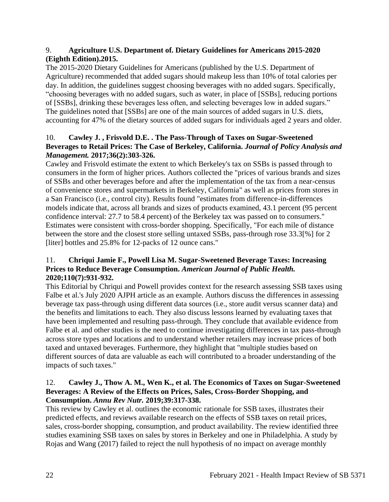## 9. **Agriculture U.S. Department of. Dietary Guidelines for Americans 2015-2020 (Eighth Edition).2015.**

The 2015-2020 Dietary Guidelines for Americans (published by the U.S. Department of Agriculture) recommended that added sugars should makeup less than 10% of total calories per day. In addition, the guidelines suggest choosing beverages with no added sugars. Specifically, "choosing beverages with no added sugars, such as water, in place of [SSBs], reducing portions of [SSBs], drinking these beverages less often, and selecting beverages low in added sugars." The guidelines noted that [SSBs] are one of the main sources of added sugars in U.S. diets, accounting for 47% of the dietary sources of added sugars for individuals aged 2 years and older.

# 10. **Cawley J. , Frisvold D.E. . The Pass-Through of Taxes on Sugar-Sweetened Beverages to Retail Prices: The Case of Berkeley, California.** *Journal of Policy Analysis and Management.* **2017;36(2):303-326.**

Cawley and Frisvold estimate the extent to which Berkeley's tax on SSBs is passed through to consumers in the form of higher prices. Authors collected the "prices of various brands and sizes of SSBs and other beverages before and after the implementation of the tax from a near-census of convenience stores and supermarkets in Berkeley, California" as well as prices from stores in a San Francisco (i.e., control city). Results found "estimates from difference-in-differences models indicate that, across all brands and sizes of products examined, 43.1 percent (95 percent confidence interval: 27.7 to 58.4 percent) of the Berkeley tax was passed on to consumers." Estimates were consistent with cross-border shopping. Specifically, "For each mile of distance between the store and the closest store selling untaxed SSBs, pass-through rose 33.3[%] for 2 [liter] bottles and 25.8% for 12-packs of 12 ounce cans."

# 11. **Chriqui Jamie F., Powell Lisa M. Sugar-Sweetened Beverage Taxes: Increasing Prices to Reduce Beverage Consumption.** *American Journal of Public Health.*  **2020;110(7):931-932.**

This Editorial by Chriqui and Powell provides context for the research assessing SSB taxes using Falbe et al.'s July 2020 AJPH article as an example. Authors discuss the differences in assessing beverage tax pass-through using different data sources (i.e., store audit versus scanner data) and the benefits and limitations to each. They also discuss lessons learned by evaluating taxes that have been implemented and resulting pass-through. They conclude that available evidence from Falbe et al. and other studies is the need to continue investigating differences in tax pass-through across store types and locations and to understand whether retailers may increase prices of both taxed and untaxed beverages. Furthermore, they highlight that "multiple studies based on different sources of data are valuable as each will contributed to a broader understanding of the impacts of such taxes."

# 12. **Cawley J., Thow A. M., Wen K., et al. The Economics of Taxes on Sugar-Sweetened Beverages: A Review of the Effects on Prices, Sales, Cross-Border Shopping, and Consumption.** *Annu Rev Nutr.* **2019;39:317-338.**

This review by Cawley et al. outlines the economic rationale for SSB taxes, illustrates their predicted effects, and reviews available research on the effects of SSB taxes on retail prices, sales, cross-border shopping, consumption, and product availability. The review identified three studies examining SSB taxes on sales by stores in Berkeley and one in Philadelphia. A study by Rojas and Wang (2017) failed to reject the null hypothesis of no impact on average monthly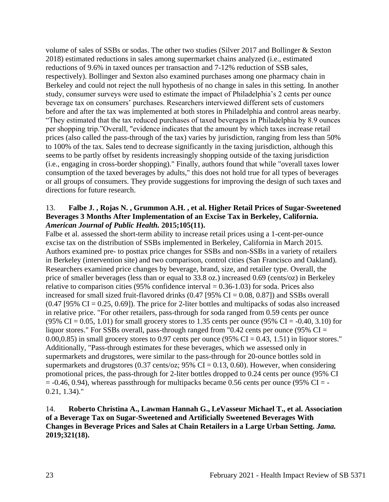volume of sales of SSBs or sodas. The other two studies (Silver 2017 and Bollinger & Sexton 2018) estimated reductions in sales among supermarket chains analyzed (i.e., estimated reductions of 9.6% in taxed ounces per transaction and 7-12% reduction of SSB sales, respectively). Bollinger and Sexton also examined purchases among one pharmacy chain in Berkeley and could not reject the null hypothesis of no change in sales in this setting. In another study, consumer surveys were used to estimate the impact of Philadelphia's 2 cents per ounce beverage tax on consumers' purchases. Researchers interviewed different sets of customers before and after the tax was implemented at both stores in Philadelphia and control areas nearby. "They estimated that the tax reduced purchases of taxed beverages in Philadelphia by 8.9 ounces per shopping trip."Overall, "evidence indicates that the amount by which taxes increase retail prices (also called the pass-through of the tax) varies by jurisdiction, ranging from less than 50% to 100% of the tax. Sales tend to decrease significantly in the taxing jurisdiction, although this seems to be partly offset by residents increasingly shopping outside of the taxing jurisdiction (i.e., engaging in cross-border shopping)." Finally, authors found that while "overall taxes lower consumption of the taxed beverages by adults," this does not hold true for all types of beverages or all groups of consumers. They provide suggestions for improving the design of such taxes and directions for future research.

## 13. **Falbe J. , Rojas N. , Grummon A.H. , et al. Higher Retail Prices of Sugar-Sweetened Beverages 3 Months After Implementation of an Excise Tax in Berkeley, California.**  *American Journal of Public Health.* **2015;105(11).**

Falbe et al. assessed the short-term ability to increase retail prices using a 1-cent-per-ounce excise tax on the distribution of SSBs implemented in Berkeley, California in March 2015. Authors examined pre- to posttax price changes for SSBs and non-SSBs in a variety of retailers in Berkeley (intervention site) and two comparison, control cities (San Francisco and Oakland). Researchers examined price changes by beverage, brand, size, and retailer type. Overall, the price of smaller beverages (less than or equal to 33.8 oz.) increased 0.69 (cents/oz) in Berkeley relative to comparison cities (95% confidence interval  $= 0.36 - 1.03$ ) for soda. Prices also increased for small sized fruit-flavored drinks  $(0.47 \, [95\% \, CI = 0.08, 0.87])$  and SSBs overall  $(0.47 \, [95\% \, CI = 0.25, 0.69])$ . The price for 2-liter bottles and multipacks of sodas also increased in relative price. "For other retailers, pass-through for soda ranged from 0.59 cents per ounce  $(95\% \text{ CI} = 0.05, 1.01)$  for small grocery stores to 1.35 cents per ounce  $(95\% \text{ CI} = -0.40, 3.10)$  for liquor stores." For SSBs overall, pass-through ranged from "0.42 cents per ounce (95%  $CI =$ 0.00,0.85) in small grocery stores to 0.97 cents per ounce (95% CI = 0.43, 1.51) in liquor stores." Additionally, "Pass-through estimates for these beverages, which we assessed only in supermarkets and drugstores, were similar to the pass-through for 20-ounce bottles sold in supermarkets and drugstores (0.37 cents/oz;  $95\%$  CI = 0.13, 0.60). However, when considering promotional prices, the pass-through for 2-liter bottles dropped to 0.24 cents per ounce (95% CI  $= -0.46, 0.94$ ), whereas passthrough for multipacks became 0.56 cents per ounce (95% CI = -0.21, 1.34)."

14. **Roberto Christina A., Lawman Hannah G., LeVasseur Michael T., et al. Association of a Beverage Tax on Sugar-Sweetened and Artificially Sweetened Beverages With Changes in Beverage Prices and Sales at Chain Retailers in a Large Urban Setting.** *Jama.*  **2019;321(18).**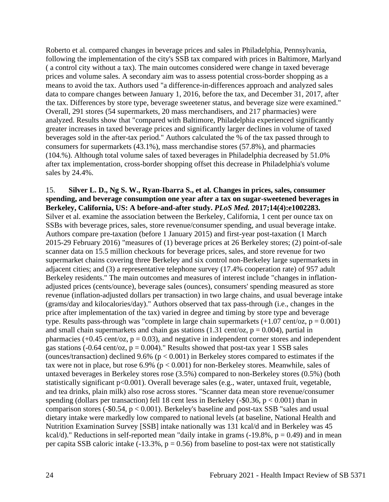Roberto et al. compared changes in beverage prices and sales in Philadelphia, Pennsylvania, following the implementation of the city's SSB tax compared with prices in Baltimore, Marlyand ( a control city without a tax). The main outcomes considered were change in taxed beverage prices and volume sales. A secondary aim was to assess potential cross-border shopping as a means to avoid the tax. Authors used "a difference-in-differences approach and analyzed sales data to compare changes between January 1, 2016, before the tax, and December 31, 2017, after the tax. Differences by store type, beverage sweetener status, and beverage size were examined." Overall, 291 stores (54 supermarkets, 20 mass merchandisers, and 217 pharmacies) were analyzed. Results show that "compared with Baltimore, Philadelphia experienced significantly greater increases in taxed beverage prices and significantly larger declines in volume of taxed beverages sold in the after-tax period." Authors calculated the % of the tax passed through to consumers for supermarkets (43.1%), mass merchandise stores (57.8%), and pharmacies (104.%). Although total volume sales of taxed beverages in Philadelphia decreased by 51.0% after tax implementation, cross-border shopping offset this decrease in Philadelphia's volume sales by 24.4%.

15. **Silver L. D., Ng S. W., Ryan-Ibarra S., et al. Changes in prices, sales, consumer spending, and beverage consumption one year after a tax on sugar-sweetened beverages in Berkeley, California, US: A before-and-after study.** *PLoS Med.* **2017;14(4):e1002283.** Silver et al. examine the association between the Berkeley, California, 1 cent per ounce tax on SSBs with beverage prices, sales, store revenue/consumer spending, and usual beverage intake. Authors compare pre-taxation (before 1 January 2015) and first-year post-taxation (1 March 2015-29 February 2016) "measures of (1) beverage prices at 26 Berkeley stores; (2) point-of-sale scanner data on 15.5 million checkouts for beverage prices, sales, and store revenue for two supermarket chains covering three Berkeley and six control non-Berkeley large supermarkets in adjacent cities; and (3) a representative telephone survey (17.4% cooperation rate) of 957 adult Berkeley residents." The main outcomes and measures of interest include "changes in inflationadjusted prices (cents/ounce), beverage sales (ounces), consumers' spending measured as store revenue (inflation-adjusted dollars per transaction) in two large chains, and usual beverage intake (grams/day and kilocalories/day)." Authors observed that tax pass-through (i.e., changes in the price after implementation of the tax) varied in degree and timing by store type and beverage type. Results pass-through was "complete in large chain supermarkets  $(+1.07 \text{ cent/oz}, p = 0.001)$ and small chain supermarkets and chain gas stations (1.31 cent/oz,  $p = 0.004$ ), partial in pharmacies ( $+0.45$  cent/oz,  $p = 0.03$ ), and negative in independent corner stores and independent gas stations (-0.64 cent/oz,  $p = 0.004$ )." Results showed that post-tax year 1 SSB sales (ounces/transaction) declined 9.6% ( $p < 0.001$ ) in Berkeley stores compared to estimates if the tax were not in place, but rose  $6.9\%$  ( $p < 0.001$ ) for non-Berkeley stores. Meanwhile, sales of untaxed beverages in Berkeley stores rose (3.5%) compared to non-Berkeley stores (0.5%) (both statistically significant p<0.001). Overall beverage sales (e.g., water, untaxed fruit, vegetable, and tea drinks, plain milk) also rose across stores. "Scanner data mean store revenue/consumer spending (dollars per transaction) fell 18 cent less in Berkeley (-\$0.36,  $p < 0.001$ ) than in comparison stores (- $$0.54$ ,  $p < 0.001$ ). Berkeley's baseline and post-tax SSB "sales and usual dietary intake were markedly low compared to national levels (at baseline, National Health and Nutrition Examination Survey [SSB] intake nationally was 131 kcal/d and in Berkeley was 45 kcal/d)." Reductions in self-reported mean "daily intake in grams  $(-19.8\%, p = 0.49)$  and in mean per capita SSB caloric intake  $(-13.3\%, p = 0.56)$  from baseline to post-tax were not statistically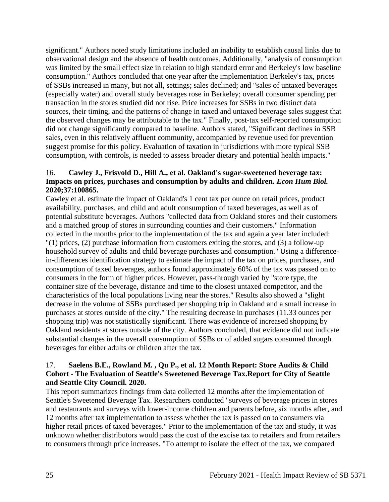significant." Authors noted study limitations included an inability to establish causal links due to observational design and the absence of health outcomes. Additionally, "analysis of consumption was limited by the small effect size in relation to high standard error and Berkeley's low baseline consumption." Authors concluded that one year after the implementation Berkeley's tax, prices of SSBs increased in many, but not all, settings; sales declined; and "sales of untaxed beverages (especially water) and overall study beverages rose in Berkeley; overall consumer spending per transaction in the stores studied did not rise. Price increases for SSBs in two distinct data sources, their timing, and the patterns of change in taxed and untaxed beverage sales suggest that the observed changes may be attributable to the tax." Finally, post-tax self-reported consumption did not change significantly compared to baseline. Authors stated, "Significant declines in SSB sales, even in this relatively affluent community, accompanied by revenue used for prevention suggest promise for this policy. Evaluation of taxation in jurisdictions with more typical SSB consumption, with controls, is needed to assess broader dietary and potential health impacts."

## 16. **Cawley J., Frisvold D., Hill A., et al. Oakland's sugar-sweetened beverage tax: Impacts on prices, purchases and consumption by adults and children.** *Econ Hum Biol.*  **2020;37:100865.**

Cawley et al. estimate the impact of Oakland's 1 cent tax per ounce on retail prices, product availability, purchases, and child and adult consumption of taxed beverages, as well as of potential substitute beverages. Authors "collected data from Oakland stores and their customers and a matched group of stores in surrounding counties and their customers." Information collected in the months prior to the implementation of the tax and again a year later included: "(1) prices, (2) purchase information from customers exiting the stores, and (3) a follow-up household survey of adults and child beverage purchases and consumption." Using a differencein-differences identification strategy to estimate the impact of the tax on prices, purchases, and consumption of taxed beverages, authors found approximately 60% of the tax was passed on to consumers in the form of higher prices. However, pass-through varied by "store type, the container size of the beverage, distance and time to the closest untaxed competitor, and the characteristics of the local populations living near the stores." Results also showed a "slight decrease in the volume of SSBs purchased per shopping trip in Oakland and a small increase in purchases at stores outside of the city." The resulting decrease in purchases (11.33 ounces per shopping trip) was not statistically significant. There was evidence of increased shopping by Oakland residents at stores outside of the city. Authors concluded, that evidence did not indicate substantial changes in the overall consumption of SSBs or of added sugars consumed through beverages for either adults or children after the tax.

## 17. **Saelens B.E., Rowland M. , Qu P., et al. 12 Month Report: Store Audits & Child Cohort - The Evaluation of Seattle's Sweetened Beverage Tax.Report for City of Seattle and Seattle City Council***.* **2020.**

This report summarizes findings from data collected 12 months after the implementation of Seattle's Sweetened Beverage Tax. Researchers conducted "surveys of beverage prices in stores and restaurants and surveys with lower-income children and parents before, six months after, and 12 months after tax implementation to assess whether the tax is passed on to consumers via higher retail prices of taxed beverages." Prior to the implementation of the tax and study, it was unknown whether distributors would pass the cost of the excise tax to retailers and from retailers to consumers through price increases. "To attempt to isolate the effect of the tax, we compared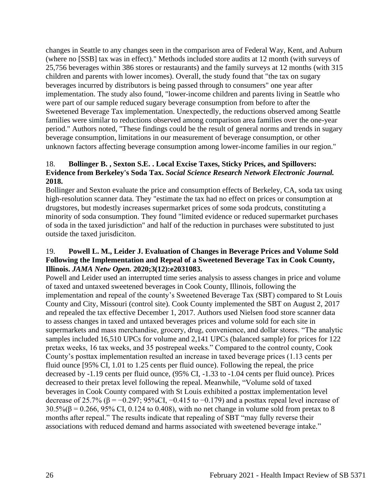changes in Seattle to any changes seen in the comparison area of Federal Way, Kent, and Auburn (where no [SSB] tax was in effect)." Methods included store audits at 12 month (with surveys of 25,756 beverages within 386 stores or restaurants) and the family surveys at 12 months (with 315 children and parents with lower incomes). Overall, the study found that "the tax on sugary beverages incurred by distributors is being passed through to consumers" one year after implementation. The study also found, "lower-income children and parents living in Seattle who were part of our sample reduced sugary beverage consumption from before to after the Sweetened Beverage Tax implementation. Unexpectedly, the reductions observed among Seattle families were similar to reductions observed among comparison area families over the one-year period." Authors noted, "These findings could be the result of general norms and trends in sugary beverage consumption, limitations in our measurement of beverage consumption, or other unknown factors affecting beverage consumption among lower-income families in our region."

# 18. **Bollinger B. , Sexton S.E. . Local Excise Taxes, Sticky Prices, and Spillovers: Evidence from Berkeley's Soda Tax.** *Social Science Research Network Electronic Journal.*  **2018.**

Bollinger and Sexton evaluate the price and consumption effects of Berkeley, CA, soda tax using high-resolution scanner data. They "estimate the tax had no effect on prices or consumption at drugstores, but modestly increases supermarket prices of some soda prodcuts, constituting a minority of soda consumption. They found "limited evidence or reduced supermarket purchases of soda in the taxed jurisdiction" and half of the reduction in purchases were substituted to just outside the taxed jurisdiciton.

## 19. **Powell L. M., Leider J. Evaluation of Changes in Beverage Prices and Volume Sold Following the Implementation and Repeal of a Sweetened Beverage Tax in Cook County, Illinois.** *JAMA Netw Open.* **2020;3(12):e2031083.**

Powell and Leider used an interrupted time series analysis to assess changes in price and volume of taxed and untaxed sweetened beverages in Cook County, Illinois, following the implementation and repeal of the county's Sweetened Beverage Tax (SBT) compared to St Louis County and City, Missouri (control site). Cook County implemented the SBT on August 2, 2017 and repealed the tax effective December 1, 2017. Authors used Nielsen food store scanner data to assess changes in taxed and untaxed beverages prices and volume sold for each site in supermarkets and mass merchandise, grocery, drug, convenience, and dollar stores. "The analytic samples included 16,510 UPCs for volume and 2,141 UPCs (balanced sample) for prices for 122 pretax weeks, 16 tax weeks, and 35 postrepeal weeks." Compared to the control county, Cook County's posttax implementation resulted an increase in taxed beverage prices (1.13 cents per fluid ounce [95% CI, 1.01 to 1.25 cents per fluid ounce). Following the repeal, the price decreased by -1.19 cents per fluid ounce, (95% CI, -1.33 to -1.04 cents per fluid ounce). Prices decreased to their pretax level following the repeal. Meanwhile, "Volume sold of taxed beverages in Cook County compared with St Louis exhibited a posttax implementation level decrease of 25.7% ( $\beta$  = -0.297; 95%CI, -0.415 to -0.179) and a posttax repeal level increase of  $30.5\%$  ( $\beta$  = 0.266, 95% CI, 0.124 to 0.408), with no net change in volume sold from pretax to 8 months after repeal." The results indicate that repealing of SBT "may fully reverse their associations with reduced demand and harms associated with sweetened beverage intake."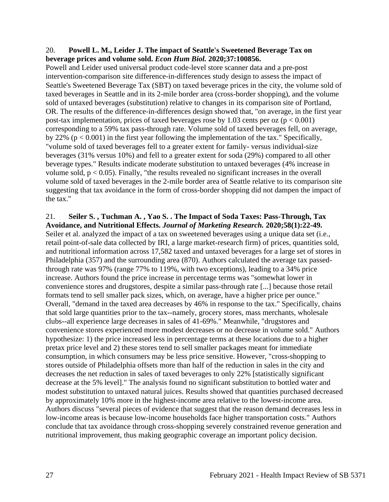#### 20. **Powell L. M., Leider J. The impact of Seattle's Sweetened Beverage Tax on beverage prices and volume sold.** *Econ Hum Biol.* **2020;37:100856.**

Powell and Leider used universal product code-level store scanner data and a pre-post intervention-comparison site difference-in-differences study design to assess the impact of Seattle's Sweetened Beverage Tax (SBT) on taxed beverage prices in the city, the volume sold of taxed beverages in Seattle and in its 2-mile border area (cross-border shopping), and the volume sold of untaxed beverages (substitution) relative to changes in its comparison site of Portland, OR. The results of the difference-in-differences design showed that, "on average, in the first year post-tax implementation, prices of taxed beverages rose by 1.03 cents per oz ( $p < 0.001$ ) corresponding to a 59% tax pass-through rate. Volume sold of taxed beverages fell, on average, by 22% ( $p < 0.001$ ) in the first year following the implementation of the tax." Specifically, "volume sold of taxed beverages fell to a greater extent for family- versus individual-size beverages (31% versus 10%) and fell to a greater extent for soda (29%) compared to all other beverage types." Results indicate moderate substitution to untaxed beverages (4% increase in volume sold,  $p < 0.05$ ). Finally, "the results revealed no significant increases in the overall volume sold of taxed beverages in the 2-mile border area of Seattle relative to its comparison site suggesting that tax avoidance in the form of cross-border shopping did not dampen the impact of the tax."

#### 21. **Seiler S. , Tuchman A. , Yao S. . The Impact of Soda Taxes: Pass-Through, Tax Avoidance, and Nutritional Effects.** *Journal of Marketing Research.* **2020;58(1):22-49.**

Seiler et al. analyzed the impact of a tax on sweetened beverages using a unique data set (i.e., retail point-of-sale data collected by IRI, a large market-research firm) of prices, quantities sold, and nutritional information across 17,582 taxed and untaxed beverages for a large set of stores in Philadelphia (357) and the surrounding area (870). Authors calculated the average tax passedthrough rate was 97% (range 77% to 119%, with two exceptions), leading to a 34% price increase. Authors found the price increase in percentage terms was "somewhat lower in convenience stores and drugstores, despite a similar pass-through rate [...] because those retail formats tend to sell smaller pack sizes, which, on average, have a higher price per ounce." Overall, "demand in the taxed area decreases by 46% in response to the tax." Specifically, chains that sold large quantities prior to the tax--namely, grocery stores, mass merchants, wholesale clubs--all experience large decreases in sales of 41-69%." Meanwhile, "drugstores and convenience stores experienced more modest decreases or no decrease in volume sold." Authors hypothesize: 1) the price increased less in percentage terms at these locations due to a higher pretax price level and 2) these stores tend to sell smaller packages meant for immediate consumption, in which consumers may be less price sensitive. However, "cross-shopping to stores outside of Philadelphia offsets more than half of the reduction in sales in the city and decreases the net reduction in sales of taxed beverages to only 22% [statistically significant decrease at the 5% level]." The analysis found no significant substitution to bottled water and modest substitution to untaxed natural juices. Results showed that quantities purchased decreased by approximately 10% more in the highest-income area relative to the lowest-income area. Authors discuss "several pieces of evidence that suggest that the reason demand decreases less in low-income areas is because low-income households face higher transportation costs." Authors conclude that tax avoidance through cross-shopping severely constrained revenue generation and nutritional improvement, thus making geographic coverage an important policy decision.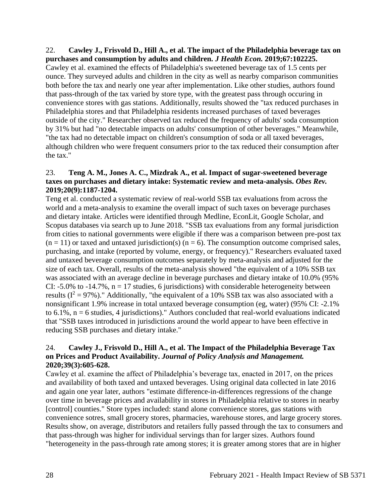#### 22. **Cawley J., Frisvold D., Hill A., et al. The impact of the Philadelphia beverage tax on purchases and consumption by adults and children.** *J Health Econ.* **2019;67:102225.**

Cawley et al. examined the effects of Philadelphia's sweetened beverage tax of 1.5 cents per ounce. They surveyed adults and children in the city as well as nearby comparison communities both before the tax and nearly one year after implementation. Like other studies, authors found that pass-through of the tax varied by store type, with the greatest pass through occuring in convenience stores with gas stations. Additionally, results showed the "tax reduced purchases in Philadelphia stores and that Philadelphia residents increased purchases of taxed beverages outside of the city." Researcher observed tax reduced the frequency of adults' soda consumption by 31% but had "no detectable impacts on adults' consumption of other beverages." Meanwhile, "the tax had no detectable impact on children's consumption of soda or all taxed beverages, although children who were frequent consumers prior to the tax reduced their consumption after the tax."

## 23. **Teng A. M., Jones A. C., Mizdrak A., et al. Impact of sugar-sweetened beverage taxes on purchases and dietary intake: Systematic review and meta-analysis.** *Obes Rev.*  **2019;20(9):1187-1204.**

Teng et al. conducted a systematic review of real-world SSB tax evaluations from across the world and a meta-analysis to examine the overall impact of such taxes on beverage purchases and dietary intake. Articles were identified through Medline, EconLit, Google Scholar, and Scopus databases via search up to June 2018. "SSB tax evaluations from any formal jurisdiction from cities to national governments were eligible if there was a comparison between pre-post tax  $(n = 11)$  or taxed and untaxed jurisdiction(s)  $(n = 6)$ . The consumption outcome comprised sales, purchasing, and intake (reported by volume, energy, or frequency)." Researchers evaluated taxed and untaxed beverage consumption outcomes separately by meta-analysis and adjusted for the size of each tax. Overall, results of the meta-analysis showed "the equivalent of a 10% SSB tax was associated with an average decline in beverage purchases and dietary intake of 10.0% (95% CI: -5.0% to -14.7%,  $n = 17$  studies, 6 jurisdictions) with considerable heterogeneity between results ( $I^2 = 97\%$ )." Additionally, "the equivalent of a 10% SSB tax was also associated with a nonsignificant 1.9% increase in total untaxed beverage consumption (eg, water) (95% CI: -2.1% to  $6.1\%$ ,  $n = 6$  studies, 4 jurisdictions)." Authors concluded that real-world evaluations indicated that "SSB taxes introduced in jurisdictions around the world appear to have been effective in reducing SSB purchases and dietary intake."

## 24. **Cawley J., Frisvold D., Hill A., et al. The Impact of the Philadelphia Beverage Tax on Prices and Product Availability.** *Journal of Policy Analysis and Management.*  **2020;39(3):605-628.**

Cawley et al. examine the affect of Philadelphia's beverage tax, enacted in 2017, on the prices and availability of both taxed and untaxed beverages. Using original data collected in late 2016 and again one year later, authors "estimate difference-in-differences regressions of the change over time in beverage prices and availability in stores in Philadelphia relative to stores in nearby [control] counties." Store types included: stand alone convenience stores, gas stations with convenience sotres, small grocery stores, pharmacies, warehouse stores, and large grocery stores. Results show, on average, distributors and retailers fully passed through the tax to consumers and that pass-through was higher for individual servings than for larger sizes. Authors found "heterogeneity in the pass-through rate among stores; it is greater among stores that are in higher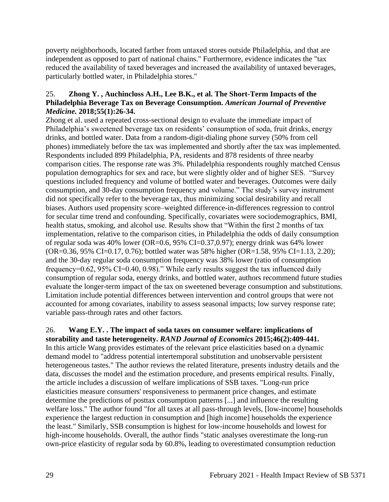poverty neighborhoods, located farther from untaxed stores outside Philadelphia, and that are independent as opposed to part of national chains." Furthermore, evidence indicates the "tax reduced the availability of taxed beverages and increased the availability of untaxed beverages, particularly bottled water, in Philadelphia stores."

## 25. **Zhong Y. , Auchincloss A.H., Lee B.K., et al. The Short-Term Impacts of the Philadelphia Beverage Tax on Beverage Consumption.** *American Journal of Preventive Medicine.* **2018;55(1):26-34.**

Zhong et al. used a repeated cross-sectional design to evaluate the immediate impact of Philadelphia's sweetened beverage tax on residents' consumption of soda, fruit drinks, energy drinks, and bottled water. Data from a random-digit-dialing phone survey (50% from cell phones) immediately before the tax was implemented and shortly after the tax was implemented. Respondents included 899 Philadelphia, PA, residents and 878 residents of three nearby comparison cities. The response rate was 3%. Philadelphia respondents roughly matched Census population demographics for sex and race, but were slightly older and of higher SES. "Survey questions included frequency and volume of bottled water and beverages. Outcomes were daily consumption, and 30-day consumption frequency and volume." The study's survey instrument did not specifically refer to the beverage tax, thus minimizing social desirability and recall biases. Authors used propensity score–weighted difference-in-differences regression to control for secular time trend and confounding. Specifically, covariates were sociodemographics, BMI, health status, smoking, and alcohol use. Results show that "Within the first 2 months of tax implementation, relative to the comparison cities, in Philadelphia the odds of daily consumption of regular soda was 40% lower (OR=0.6, 95% CI=0.37,0.97); energy drink was 64% lower (OR=0.36, 95% CI=0.17, 0.76); bottled water was 58% higher (OR=1.58, 95% CI=1.13, 2.20); and the 30-day regular soda consumption frequency was 38% lower (ratio of consumption frequency=0.62, 95% CI=0.40, 0.98)." While early results suggest the tax influenced daily consumption of regular soda, energy drinks, and bottled water, authors recommend future studies evaluate the longer-term impact of the tax on sweetened beverage consumption and substitutions. Limitation include potential differences between intervention and control groups that were not accounted for among covariates, inability to assess seasonal impacts; low survey response rate; variable pass-through rates and other factors.

## 26. **Wang E.Y. . The impact of soda taxes on consumer welfare: implications of storability and taste heterogeneity.** *RAND Journal of Economics* **2015;46(2):409-441.**

In this article Wang provides estimates of the relevant price elasticities based on a dynamic demand model to "address potential intertemporal substitution and unobservable persistent heterogeneous tastes." The author reviews the related literature, presents industry details and the data, discusses the model and the estimation procedure, and presents empirical results. Finally, the article includes a discussion of welfare implications of SSB taxes. "Long-run price elasticities measure consumers' responsiveness to permanent price changes, and estimate determine the predictions of posttax consumption patterns [...] and influence the resulting welfare loss." The author found "for all taxes at all pass-through levels, [low-income] households experience the largest reduction in consumption and [high income] households the experience the least." Similarly, SSB consumption is highest for low-income households and lowest for high-income households. Overall, the author finds "static analyses overestimate the long-run own-price elasticity of regular soda by 60.8%, leading to overestimated consumption reduction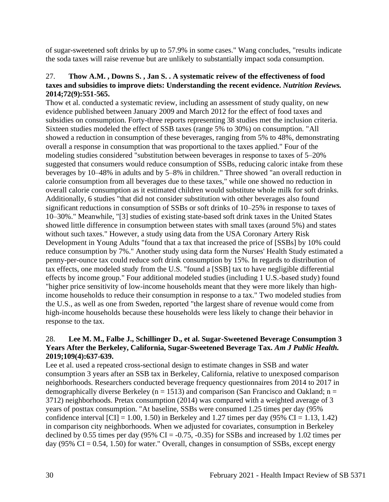of sugar-sweetened soft drinks by up to 57.9% in some cases." Wang concludes, "results indicate the soda taxes will raise revenue but are unlikely to substantially impact soda consumption.

## 27. **Thow A.M. , Downs S. , Jan S. . A systematic reivew of the effectiveness of food taxes and subsidies to improve diets: Understanding the recent evidence.** *Nutrition Reviews.*  **2014;72(9):551-565.**

Thow et al. conducted a systematic review, including an assessment of study quality, on new evidence published between January 2009 and March 2012 for the effect of food taxes and subsidies on consumption. Forty-three reports representing 38 studies met the inclusion criteria. Sixteen studies modeled the effect of SSB taxes (range 5% to 30%) on consumption. "All showed a reduction in consumption of these beverages, ranging from 5% to 48%, demonstrating overall a response in consumption that was proportional to the taxes applied." Four of the modeling studies considered "substitution between beverages in response to taxes of 5–20% suggested that consumers would reduce consumption of SSBs, reducing caloric intake from these beverages by 10–48% in adults and by 5–8% in children." Three showed "an overall reduction in calorie consumption from all beverages due to these taxes," while one showed no reduction in overall calorie consumption as it estimated children would substitute whole milk for soft drinks. Additionally, 6 studies "that did not consider substitution with other beverages also found significant reductions in consumption of SSBs or soft drinks of 10–25% in response to taxes of 10–30%." Meanwhile, "[3] studies of existing state-based soft drink taxes in the United States showed little difference in consumption between states with small taxes (around 5%) and states without such taxes." However, a study using data from the USA Coronary Artery Risk Development in Young Adults "found that a tax that increased the price of [SSBs] by 10% could reduce consumption by 7%." Another study using data form the Nurses' Health Study estimated a penny-per-ounce tax could reduce soft drink consumption by 15%. In regards to distribution of tax effects, one modeled study from the U.S. "found a [SSB] tax to have negligible differential effects by income group." Four additional modeled studies (including 1 U.S.-based study) found "higher price sensitivity of low-income households meant that they were more likely than highincome households to reduce their consumption in response to a tax." Two modeled studies from the U.S., as well as one from Sweden, reported "the largest share of revenue would come from high-income households because these households were less likely to change their behavior in response to the tax.

# 28. **Lee M. M., Falbe J., Schillinger D., et al. Sugar-Sweetened Beverage Consumption 3 Years After the Berkeley, California, Sugar-Sweetened Beverage Tax.** *Am J Public Health.*  **2019;109(4):637-639.**

Lee et al. used a repeated cross-sectional design to estimate changes in SSB and water consumption 3 years after an SSB tax in Berkeley, California, relative to unexposed comparison neighborhoods. Researchers conducted beverage frequency questionnaires from 2014 to 2017 in demographically diverse Berkeley ( $n = 1513$ ) and comparison (San Francisco and Oakland;  $n =$ 3712) neighborhoods. Pretax consumption (2014) was compared with a weighted average of 3 years of posttax consumption. "At baseline, SSBs were consumed 1.25 times per day (95% confidence interval  $\text{[CI]} = 1.00, 1.50$  in Berkeley and 1.27 times per day (95% CI = 1.13, 1.42) in comparison city neighborhoods. When we adjusted for covariates, consumption in Berkeley declined by 0.55 times per day  $(95\% \text{ CI} = -0.75, -0.35)$  for SSBs and increased by 1.02 times per day (95%  $CI = 0.54, 1.50$ ) for water." Overall, changes in consumption of SSBs, except energy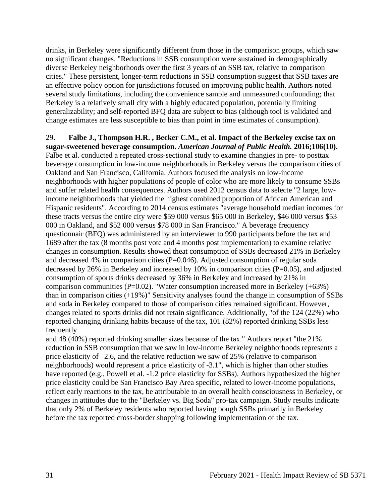drinks, in Berkeley were significantly different from those in the comparison groups, which saw no significant changes. "Reductions in SSB consumption were sustained in demographically diverse Berkeley neighborhoods over the first 3 years of an SSB tax, relative to comparison cities." These persistent, longer-term reductions in SSB consumption suggest that SSB taxes are an effective policy option for jurisdictions focused on improving public health. Authors noted several study limitations, including the convenience sample and unmeasured confounding; that Berkeley is a relatively small city with a highly educated population, potentially limiting generalizability; and self-reported BFQ data are subject to bias (although tool is validated and change estimates are less susceptible to bias than point in time estimates of consumption).

#### 29. **Falbe J., Thompson H.R. , Becker C.M., et al. Impact of the Berkeley excise tax on sugar-sweetened beverage consumption.** *American Journal of Public Health.* **2016;106(10).**

Falbe et al. conducted a repeated cross-sectional study to examine changies in pre- to posttax beverage consumption in low-income neighborhoods in Berkeley versus the comparison cities of Oakland and San Francisco, California. Authors focused the analysis on low-income neighborhoods with higher populations of people of color who are more likely to consume SSBs and suffer related health consequences. Authors used 2012 census data to selecte "2 large, lowincome neighborhoods that yielded the highest combined proportion of African American and Hispanic residents". According to 2014 census estimates "average household median incomes for these tracts versus the entire city were \$59 000 versus \$65 000 in Berkeley, \$46 000 versus \$53 000 in Oakland, and \$52 000 versus \$78 000 in San Francisco." A beverage frequency questionnair (BFQ) was administered by an interviewer to 990 participants before the tax and 1689 after the tax (8 months post vote and 4 months post implementation) to examine relative changes in consumption. Results showed theat consumption of SSBs decreased 21% in Berkeley and decreased 4% in comparison cities (P=0.046). Adjusted consumption of regular soda decreased by 26% in Berkeley and increased by 10% in comparison cities  $(P=0.05)$ , and adjusted consumption of sports drinks decreased by 36% in Berkeley and increased by 21% in comparison communities ( $P=0.02$ ). "Water consumption increased more in Berkeley (+63%) than in comparison cities (+19%)" Sensitivity analyses found the change in consumption of SSBs and soda in Berkeley compared to those of comparison cities remained significant. However, changes related to sports drinks did not retain significance. Additionally, "of the 124 (22%) who reported changing drinking habits because of the tax, 101 (82%) reported drinking SSBs less frequently

and 48 (40%) reported drinking smaller sizes because of the tax." Authors report "the 21% reduction in SSB consumption that we saw in low-income Berkeley neighborhoods represents a price elasticity of –2.6, and the relative reduction we saw of 25% (relative to comparison neighborhoods) would represent a price elasticity of -3.1", which is higher than other studies have reported (e.g., Powell et al. -1.2 price elasticity for SSBs). Authors hypothesized the higher price elasticity could be San Francisco Bay Area specific, related to lower-income populations, reflect early reactions to the tax, be attributable to an overall health consciousness in Berkeley, or changes in attitudes due to the "Berkeley vs. Big Soda" pro-tax campaign. Study results indicate that only 2% of Berkeley residents who reported having bough SSBs primarily in Berkeley before the tax reported cross-border shopping following implementation of the tax.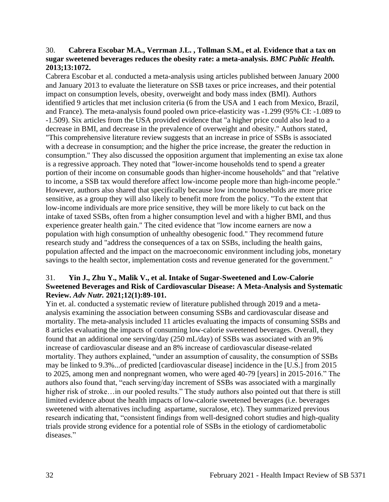## 30. **Cabrera Escobar M.A., Verrman J.L. , Tollman S.M., et al. Evidence that a tax on sugar sweetened beverages reduces the obesity rate: a meta-analysis.** *BMC Public Health.*  **2013;13:1072.**

Cabrera Escobar et al. conducted a meta-analysis using articles published between January 2000 and January 2013 to evaluate the lieterature on SSB taxes or price increases, and their potential impact on consumption levels, obesity, overweight and body mass index (BMI). Authors identified 9 articles that met inclusion criteria (6 from the USA and 1 each from Mexico, Brazil, and France). The meta-analysis found pooled own price-elasticity was -1.299 (95% CI: -1.089 to -1.509). Six articles from the USA provided evidence that "a higher price could also lead to a decrease in BMI, and decrease in the prevalence of overweight and obesity." Authors stated, "This comprehensive literature review suggests that an increase in price of SSBs is associated with a decrease in consumption; and the higher the price increase, the greater the reduction in consumption." They also discussed the opposition argument that implementing an exise tax alone is a regressive approach. They noted that "lower-income households tend to spend a greater portion of their income on consumable goods than higher-income households" and that "relative to income, a SSB tax would therefore affect low-income people more than high-income people." However, authors also shared that specifically because low income households are more price sensitive, as a group they will also likely to benefit more from the policy. "To the extent that low-income individuals are more price sensitive, they will be more likely to cut back on the intake of taxed SSBs, often from a higher consumption level and with a higher BMI, and thus experience greater health gain." The cited evidence that "low income earners are now a population with high consumption of unhealthy obesogenic food." They recommend future research study and "address the consequences of a tax on SSBs, including the health gains, population affected and the impact on the macroeconomic environment including jobs, monetary savings to the health sector, implementation costs and revenue generated for the government."

## 31. **Yin J., Zhu Y., Malik V., et al. Intake of Sugar-Sweetened and Low-Calorie Sweetened Beverages and Risk of Cardiovascular Disease: A Meta-Analysis and Systematic Review.** *Adv Nutr.* **2021;12(1):89-101.**

Yin et. al. conducted a systematic review of literature published through 2019 and a metaanalysis examining the association between consuming SSBs and cardiovascular disease and mortality. The meta-analysis included 11 articles evaluating the impacts of consuming SSBs and 8 articles evaluating the impacts of consuming low-calorie sweetened beverages. Overall, they found that an additional one serving/day (250 mL/day) of SSBs was associated with an 9% increase of cardiovascular disease and an 8% increase of cardiovascular disease-related mortality. They authors explained, "under an assumption of causality, the consumption of SSBs may be linked to 9.3%...of predicted [cardiovascular disease] incidence in the [U.S.] from 2015 to 2025, among men and nonpregnant women, who were aged 40-79 [years] in 2015-2016." The authors also found that, "each serving/day increment of SSBs was associated with a marginally higher risk of stroke…in our pooled results." The study authors also pointed out that there is still limited evidence about the health impacts of low-calorie sweetened beverages (i.e. beverages sweetened with alternatives including aspartame, sucralose, etc). They summarized previous research indicating that, "consistent findings from well-designed cohort studies and high-quality trials provide strong evidence for a potential role of SSBs in the etiology of cardiometabolic diseases."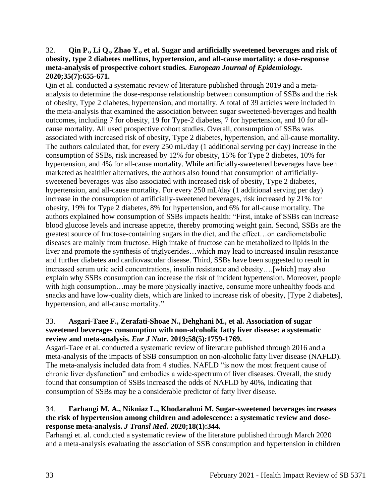## 32. **Qin P., Li Q., Zhao Y., et al. Sugar and artificially sweetened beverages and risk of obesity, type 2 diabetes mellitus, hypertension, and all-cause mortality: a dose-response meta-analysis of prospective cohort studies.** *European Journal of Epidemiology.*  **2020;35(7):655-671.**

Qin et al. conducted a systematic review of literature published through 2019 and a metaanalysis to determine the dose-response relationship between consumption of SSBs and the risk of obesity, Type 2 diabetes, hypertension, and mortality. A total of 39 articles were included in the meta-analysis that examined the association between sugar sweetened-beverages and health outcomes, including 7 for obesity, 19 for Type-2 diabetes, 7 for hypertension, and 10 for allcause mortality. All used prospective cohort studies. Overall, consumption of SSBs was associated with increased risk of obesity, Type 2 diabetes, hypertension, and all-cause mortality. The authors calculated that, for every 250 mL/day (1 additional serving per day) increase in the consumption of SSBs, risk increased by 12% for obesity, 15% for Type 2 diabetes, 10% for hypertension, and 4% for all-cause mortality. While artificially-sweetened beverages have been marketed as healthier alternatives, the authors also found that consumption of artificiallysweetened beverages was also associated with increased risk of obesity, Type 2 diabetes, hypertension, and all-cause mortality. For every 250 mL/day (1 additional serving per day) increase in the consumption of artificially-sweetened beverages, risk increased by 21% for obesity, 19% for Type 2 diabetes, 8% for hypertension, and 6% for all-cause mortality. The authors explained how consumption of SSBs impacts health: "First, intake of SSBs can increase blood glucose levels and increase appetite, thereby promoting weight gain. Second, SSBs are the greatest source of fructose-containing sugars in the diet, and the effect…on cardiometabolic diseases are mainly from fructose. High intake of fructose can be metabolized to lipids in the liver and promote the synthesis of triglycerides…which may lead to increased insulin resistance and further diabetes and cardiovascular disease. Third, SSBs have been suggested to result in increased serum uric acid concentrations, insulin resistance and obesity….[which] may also explain why SSBs consumption can increase the risk of incident hypertension. Moreover, people with high consumption...may be more physically inactive, consume more unhealthy foods and snacks and have low-quality diets, which are linked to increase risk of obesity, [Type 2 diabetes], hypertension, and all-cause mortality."

# 33. **Asgari-Taee F., Zerafati-Shoae N., Dehghani M., et al. Association of sugar sweetened beverages consumption with non-alcoholic fatty liver disease: a systematic review and meta-analysis.** *Eur J Nutr.* **2019;58(5):1759-1769.**

Asgari-Taee et al. conducted a systematic review of literature published through 2016 and a meta-analysis of the impacts of SSB consumption on non-alcoholic fatty liver disease (NAFLD). The meta-analysis included data from 4 studies. NAFLD "is now the most frequent cause of chronic liver dysfunction" and embodies a wide-spectrum of liver diseases. Overall, the study found that consumption of SSBs increased the odds of NAFLD by 40%, indicating that consumption of SSBs may be a considerable predictor of fatty liver disease.

## 34. **Farhangi M. A., Nikniaz L., Khodarahmi M. Sugar-sweetened beverages increases the risk of hypertension among children and adolescence: a systematic review and doseresponse meta-analysis.** *J Transl Med.* **2020;18(1):344.**

Farhangi et. al. conducted a systematic review of the literature published through March 2020 and a meta-analysis evaluating the association of SSB consumption and hypertension in children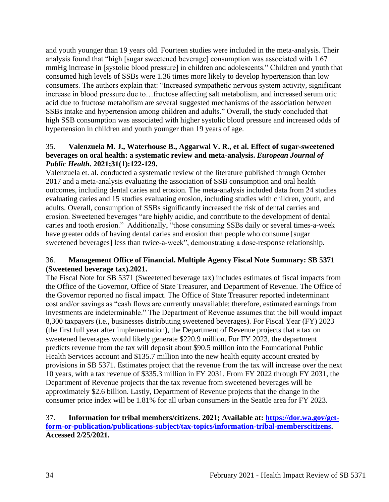and youth younger than 19 years old. Fourteen studies were included in the meta-analysis. Their analysis found that "high [sugar sweetened beverage] consumption was associated with 1.67 mmHg increase in [systolic blood pressure] in children and adolescents." Children and youth that consumed high levels of SSBs were 1.36 times more likely to develop hypertension than low consumers. The authors explain that: "Increased sympathetic nervous system activity, significant increase in blood pressure due to…fructose affecting salt metabolism, and increased serum uric acid due to fructose metabolism are several suggested mechanisms of the association between SSBs intake and hypertension among children and adults." Overall, the study concluded that high SSB consumption was associated with higher systolic blood pressure and increased odds of hypertension in children and youth younger than 19 years of age.

# 35. **Valenzuela M. J., Waterhouse B., Aggarwal V. R., et al. Effect of sugar-sweetened beverages on oral health: a systematic review and meta-analysis.** *European Journal of Public Health.* **2021;31(1):122-129.**

Valenzuela et. al. conducted a systematic review of the literature published through October 2017 and a meta-analysis evaluating the association of SSB consumption and oral health outcomes, including dental caries and erosion. The meta-analysis included data from 24 studies evaluating caries and 15 studies evaluating erosion, including studies with children, youth, and adults. Overall, consumption of SSBs significantly increased the risk of dental carries and erosion. Sweetened beverages "are highly acidic, and contribute to the development of dental caries and tooth erosion." Additionally, "those consuming SSBs daily or several times-a-week have greater odds of having dental caries and erosion than people who consume [sugar sweetened beverages] less than twice-a-week", demonstrating a dose-response relationship.

## 36. **Management Office of Financial. Multiple Agency Fiscal Note Summary: SB 5371 (Sweetened beverage tax).2021.**

The Fiscal Note for SB 5371 (Sweetened beverage tax) includes estimates of fiscal impacts from the Office of the Governor, Office of State Treasurer, and Department of Revenue. The Office of the Governor reported no fiscal impact. The Office of State Treasurer reported indeterminant cost and/or savings as "cash flows are currently unavailable; therefore, estimated earnings from investments are indeterminable." The Department of Revenue assumes that the bill would impact 8,300 taxpayers (i.e., businesses distributing sweetened beverages). For Fiscal Year (FY) 2023 (the first full year after implementation), the Department of Revenue projects that a tax on sweetened beverages would likely generate \$220.9 million. For FY 2023, the department predicts revenue from the tax will deposit about \$90.5 million into the Foundational Public Health Services account and \$135.7 million into the new health equity account created by provisions in SB 5371. Estimates project that the revenue from the tax will increase over the next 10 years, with a tax revenue of \$335.3 million in FY 2031. From FY 2022 through FY 2031, the Department of Revenue projects that the tax revenue from sweetened beverages will be approximately \$2.6 billion. Lastly, Department of Revenue projects that the change in the consumer price index will be 1.81% for all urban consumers in the Seattle area for FY 2023.

## 37. **Information for tribal members/citizens. 2021; Available at: [https://dor.wa.gov/get](https://dor.wa.gov/get-form-or-publication/publications-subject/tax-topics/information-tribal-memberscitizens)[form-or-publication/publications-subject/tax-topics/information-tribal-memberscitizens.](https://dor.wa.gov/get-form-or-publication/publications-subject/tax-topics/information-tribal-memberscitizens) Accessed 2/25/2021.**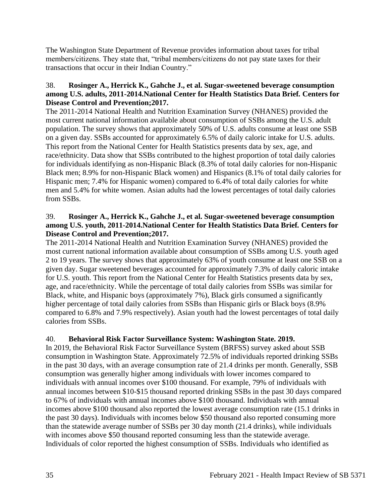The Washington State Department of Revenue provides information about taxes for tribal members/citizens. They state that, "tribal members/citizens do not pay state taxes for their transactions that occur in their Indian Country."

## 38. **Rosinger A., Herrick K., Gahche J., et al. Sugar-sweetened beverage consumption among U.S. adults, 2011-2014.National Center for Health Statistics Data Brief***.* **Centers for Disease Control and Prevention;2017.**

The 2011-2014 National Health and Nutrition Examination Survey (NHANES) provided the most current national information available about consumption of SSBs among the U.S. adult population. The survey shows that approximately 50% of U.S. adults consume at least one SSB on a given day. SSBs accounted for approximately 6.5% of daily caloric intake for U.S. adults. This report from the National Center for Health Statistics presents data by sex, age, and race/ethnicity. Data show that SSBs contributed to the highest proportion of total daily calories for individuals identifying as non-Hispanic Black (8.3% of total daily calories for non-Hispanic Black men; 8.9% for non-Hispanic Black women) and Hispanics (8.1% of total daily calories for Hispanic men; 7.4% for Hispanic women) compared to 6.4% of total daily calories for white men and 5.4% for white women. Asian adults had the lowest percentages of total daily calories from SSBs.

## 39. **Rosinger A., Herrick K., Gahche J., et al. Sugar-sweetened beverage consumption among U.S. youth, 2011-2014.National Center for Health Statistics Data Brief***.* **Centers for Disease Control and Prevention;2017.**

The 2011-2014 National Health and Nutrition Examination Survey (NHANES) provided the most current national information available about consumption of SSBs among U.S. youth aged 2 to 19 years. The survey shows that approximately 63% of youth consume at least one SSB on a given day. Sugar sweetened beverages accounted for approximately 7.3% of daily caloric intake for U.S. youth. This report from the National Center for Health Statistics presents data by sex, age, and race/ethnicity. While the percentage of total daily calories from SSBs was similar for Black, white, and Hispanic boys (approximately 7%), Black girls consumed a significantly higher percentage of total daily calories from SSBs than Hispanic girls or Black boys (8.9% compared to 6.8% and 7.9% respectively). Asian youth had the lowest percentages of total daily calories from SSBs.

# 40. **Behavioral Risk Factor Surveillance System: Washington State. 2019.**

In 2019, the Behavioral Risk Factor Surveillance System (BRFSS) survey asked about SSB consumption in Washington State. Approximately 72.5% of individuals reported drinking SSBs in the past 30 days, with an average consumption rate of 21.4 drinks per month. Generally, SSB consumption was generally higher among individuals with lower incomes compared to individuals with annual incomes over \$100 thousand. For example, 79% of individuals with annual incomes between \$10-\$15 thousand reported drinking SSBs in the past 30 days compared to 67% of individuals with annual incomes above \$100 thousand. Individuals with annual incomes above \$100 thousand also reported the lowest average consumption rate (15.1 drinks in the past 30 days). Individuals with incomes below \$50 thousand also reported consuming more than the statewide average number of SSBs per 30 day month (21.4 drinks), while individuals with incomes above \$50 thousand reported consuming less than the statewide average. Individuals of color reported the highest consumption of SSBs. Individuals who identified as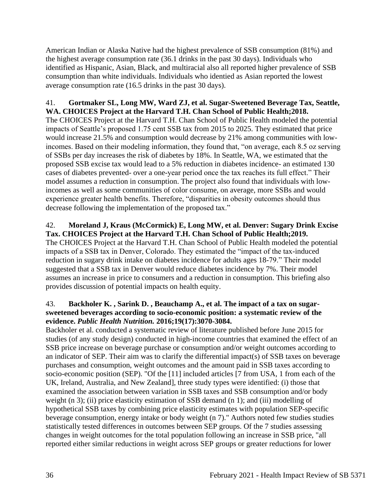American Indian or Alaska Native had the highest prevalence of SSB consumption (81%) and the highest average consumption rate (36.1 drinks in the past 30 days). Individuals who identified as Hispanic, Asian, Black, and multiracial also all reported higher prevalence of SSB consumption than white individuals. Individuals who identied as Asian reported the lowest average consumption rate (16.5 drinks in the past 30 days).

## 41. **Gortmaker SL, Long MW, Ward ZJ, et al. Sugar-Sweetened Beverage Tax, Seattle, WA. CHOICES Project at the Harvard T.H. Chan School of Public Health;2018.**

The CHOICES Project at the Harvard T.H. Chan School of Public Health modeled the potential impacts of Seattle's proposed 1.75 cent SSB tax from 2015 to 2025. They estimated that price would increase 21.5% and consumption would decrease by 21% among communities with lowincomes. Based on their modeling information, they found that, "on average, each 8.5 oz serving of SSBs per day increases the risk of diabetes by 18%. In Seattle, WA, we estimated that the proposed SSB excise tax would lead to a 5% reduction in diabetes incidence- an estimated 130 cases of diabetes prevented- over a one-year period once the tax reaches its full effect." Their model assumes a reduction in consumption. The project also found that individuals with lowincomes as well as some communities of color consume, on average, more SSBs and would experience greater health benefits. Therefore, "disparities in obesity outcomes should thus decrease following the implementation of the proposed tax."

# 42. **Moreland J, Kraus (McCormick) E, Long MW, et al. Denver: Sugary Drink Excise Tax. CHOICES Project at the Harvard T.H. Chan School of Public Health;2019.**

The CHOICES Project at the Harvard T.H. Chan School of Public Health modeled the potential impacts of a SSB tax in Denver, Colorado. They estimated the "impact of the tax-induced reduction in sugary drink intake on diabetes incidence for adults ages 18-79." Their model suggested that a SSB tax in Denver would reduce diabetes incidence by 7%. Their model assumes an increase in price to consumers and a reduction in consumption. This briefing also provides discussion of potential impacts on health equity.

## 43. **Backholer K. , Sarink D. , Beauchamp A., et al. The impact of a tax on sugarsweetened beverages according to socio-economic position: a systematic review of the evidence.** *Public Health Nutrition.* **2016;19(17):3070-3084.**

Backholer et al. conducted a systematic review of literature published before June 2015 for studies (of any study design) conducted in high-income countries that examined the effect of an SSB price increase on beverage purchase or consumption and/or weight outcomes according to an indicator of SEP. Their aim was to clarify the differential impact(s) of SSB taxes on beverage purchases and consumption, weight outcomes and the amount paid in SSB taxes according to socio-economic position (SEP). "Of the [11] included articles [7 from USA, 1 from each of the UK, Ireland, Australia, and New Zealand], three study types were identified: (i) those that examined the association between variation in SSB taxes and SSB consumption and/or body weight (n 3); (ii) price elasticity estimation of SSB demand (n 1); and (iii) modelling of hypothetical SSB taxes by combining price elasticity estimates with population SEP-specific beverage consumption, energy intake or body weight (n 7)." Authors noted few studies studies statistically tested differences in outcomes between SEP groups. Of the 7 studies assessing changes in weight outcomes for the total population following an increase in SSB price, "all reported either similar reductions in weight across SEP groups or greater reductions for lower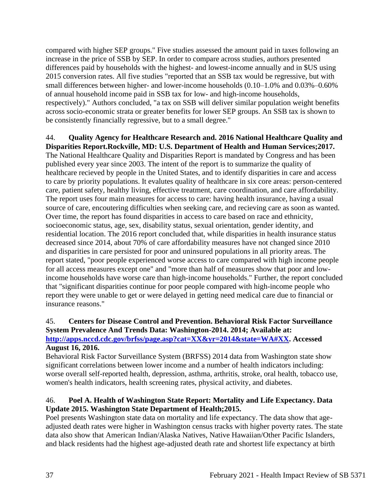compared with higher SEP groups." Five studies assessed the amount paid in taxes following an increase in the price of SSB by SEP. In order to compare across studies, authors presented differences paid by households with the highest- and lowest-income annually and in \$US using 2015 conversion rates. All five studies "reported that an SSB tax would be regressive, but with small differences between higher- and lower-income households (0.10–1.0% and 0.03%–0.60% of annual household income paid in SSB tax for low- and high-income households, respectively)." Authors concluded, "a tax on SSB will deliver similar population weight benefits across socio-economic strata or greater benefits for lower SEP groups. An SSB tax is shown to be consistently financially regressive, but to a small degree."

#### 44. **Quality Agency for Healthcare Research and. 2016 National Healthcare Quality and Disparities Report.Rockville, MD: U.S. Department of Health and Human Services;2017.**

The National Healthcare Quality and Disparities Report is mandated by Congress and has been published every year since 2003. The intent of the report is to summarize the quality of healthcare recieved by people in the United States, and to identify disparities in care and access to care by priority populations. It evalutes quality of healthcare in six core areas: person-centered care, patient safety, healthy living, effective treatment, care coordination, and care affordability. The report uses four main measures for access to care: having health insurance, having a usual source of care, encoutering difficulties when seeking care, and recieving care as soon as wanted. Over time, the report has found disparities in access to care based on race and ethnicity, socioeconomic status, age, sex, disability status, sexual orientation, gender identity, and residential location. The 2016 report concluded that, while disparities in health insurance status decreased since 2014, about 70% of care affordability measures have not changed since 2010 and disparities in care persisted for poor and uninsured populations in all priority areas. The report stated, "poor people experienced worse access to care compared with high income people for all access measures except one" and "more than half of measures show that poor and lowincome households have worse care than high-income households." Further, the report concluded that "significant disparities continue for poor people compared with high-income people who report they were unable to get or were delayed in getting need medical care due to financial or insurance reasons."

# 45. **Centers for Disease Control and Prevention. Behavioral Risk Factor Surveillance System Prevalence And Trends Data: Washington-2014. 2014; Available at:**

## **[http://apps.nccd.cdc.gov/brfss/page.asp?cat=XX&yr=2014&state=WA#XX.](http://apps.nccd.cdc.gov/brfss/page.asp?cat=XX&yr=2014&state=WA#XX) Accessed August 16, 2016.**

Behavioral Risk Factor Surveillance System (BRFSS) 2014 data from Washington state show significant correlations between lower income and a number of health indicators including: worse overall self-reported health, depression, asthma, arthritis, stroke, oral health, tobacco use, women's health indicators, health screening rates, physical activity, and diabetes.

## 46. **Poel A. Health of Washington State Report: Mortality and Life Expectancy. Data Update 2015. Washington State Department of Health;2015.**

Poel presents Washington state data on mortality and life expectancy. The data show that ageadjusted death rates were higher in Washington census tracks with higher poverty rates. The state data also show that American Indian/Alaska Natives, Native Hawaiian/Other Pacific Islanders, and black residents had the highest age-adjusted death rate and shortest life expectancy at birth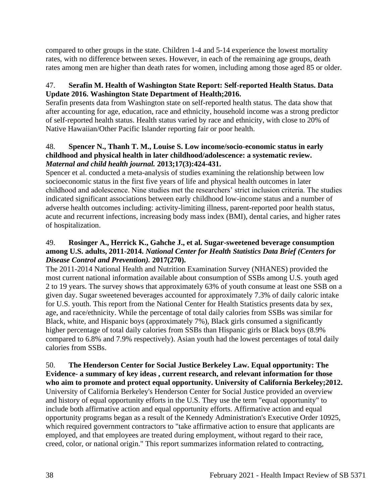compared to other groups in the state. Children 1-4 and 5-14 experience the lowest mortality rates, with no difference between sexes. However, in each of the remaining age groups, death rates among men are higher than death rates for women, including among those aged 85 or older.

# 47. **Serafin M. Health of Washington State Report: Self-reported Health Status. Data Update 2016. Washington State Department of Health;2016.**

Serafin presents data from Washington state on self-reported health status. The data show that after accounting for age, education, race and ethnicity, household income was a strong predictor of self-reported health status. Health status varied by race and ethnicity, with close to 20% of Native Hawaiian/Other Pacific Islander reporting fair or poor health.

# 48. **Spencer N., Thanh T. M., Louise S. Low income/socio-economic status in early childhood and physical health in later childhood/adolescence: a systematic review.**  *Maternal and child health journal.* **2013;17(3):424-431.**

Spencer et al. conducted a meta-analysis of studies examining the relationship between low socioeconomic status in the first five years of life and physical health outcomes in later childhood and adolescence. Nine studies met the researchers' strict inclusion criteria. The studies indicated significant associations between early childhood low-income status and a number of adverse health outcomes including: activity-limiting illness, parent-reported poor health status, acute and recurrent infections, increasing body mass index (BMI), dental caries, and higher rates of hospitalization.

# 49. **Rosinger A., Herrick K., Gahche J., et al. Sugar-sweetened beverage consumption among U.S. adults, 2011-2014.** *National Center for Health Statistics Data Brief (Centers for Disease Control and Prevention).* **2017(270).**

The 2011-2014 National Health and Nutrition Examination Survey (NHANES) provided the most current national information available about consumption of SSBs among U.S. youth aged 2 to 19 years. The survey shows that approximately 63% of youth consume at least one SSB on a given day. Sugar sweetened beverages accounted for approximately 7.3% of daily caloric intake for U.S. youth. This report from the National Center for Health Statistics presents data by sex, age, and race/ethnicity. While the percentage of total daily calories from SSBs was similar for Black, white, and Hispanic boys (approximately 7%), Black girls consumed a significantly higher percentage of total daily calories from SSBs than Hispanic girls or Black boys (8.9% compared to 6.8% and 7.9% respectively). Asian youth had the lowest percentages of total daily calories from SSBs.

50. **The Henderson Center for Social Justice Berkeley Law. Equal opportunity: The Evidence- a summary of key ideas , current research, and relevant information for those who aim to promote and protect equal opportunity. University of California Berkeley;2012.** University of California Berkeley's Henderson Center for Social Justice provided an overview and history of equal opportunity efforts in the U.S. They use the term "equal opportunity" to include both affirmative action and equal opportunity efforts. Affirmative action and equal opportunity programs began as a result of the Kennedy Administration's Executive Order 10925, which required government contractors to "take affirmative action to ensure that applicants are employed, and that employees are treated during employment, without regard to their race, creed, color, or national origin." This report summarizes information related to contracting,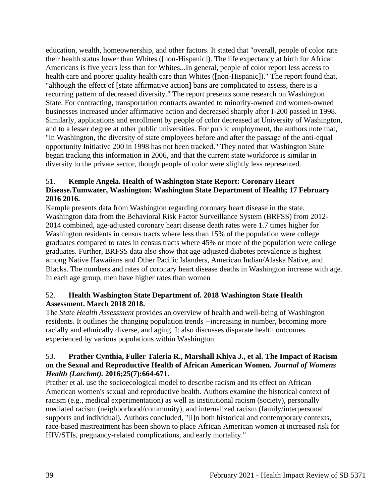education, wealth, homeownership, and other factors. It stated that "overall, people of color rate their health status lower than Whites ([non-Hispanic]). The life expectancy at birth for African Americans is five years less than for Whites...In general, people of color report less access to health care and poorer quality health care than Whites ([non-Hispanic])." The report found that, "although the effect of [state affirmative action] bans are complicated to assess, there is a recurring pattern of decreased diversity." The report presents some research on Washington State. For contracting, transportation contracts awarded to minority-owned and women-owned businesses increased under affirmative action and decreased sharply after I-200 passed in 1998. Similarly, applications and enrollment by people of color decreased at University of Washington, and to a lesser degree at other public universities. For public employment, the authors note that, "in Washington, the diversity of state employees before and after the passage of the anti-equal opportunity Initiative 200 in 1998 has not been tracked." They noted that Washington State began tracking this information in 2006, and that the current state workforce is similar in diversity to the private sector, though people of color were slightly less represented.

# 51. **Kemple Angela. Health of Washington State Report: Coronary Heart Disease.Tumwater, Washington: Washington State Department of Health; 17 February 2016 2016.**

Kemple presents data from Washington regarding coronary heart disease in the state. Washington data from the Behavioral Risk Factor Surveillance System (BRFSS) from 2012- 2014 combined, age-adjusted coronary heart disease death rates were 1.7 times higher for Washington residents in census tracts where less than 15% of the population were college graduates compared to rates in census tracts where 45% or more of the population were college graduates. Further, BRFSS data also show that age-adjusted diabetes prevalence is highest among Native Hawaiians and Other Pacific Islanders, American Indian/Alaska Native, and Blacks. The numbers and rates of coronary heart disease deaths in Washington increase with age. In each age group, men have higher rates than women

# 52. **Health Washington State Department of. 2018 Washington State Health Assessment. March 2018 2018.**

The *State Health Assessment* provides an overview of health and well-being of Washington residents. It outlines the changing population trends --increasing in number, becoming more racially and ethnically diverse, and aging. It also discusses disparate health outcomes experienced by various populations within Washington.

# 53. **Prather Cynthia, Fuller Taleria R., Marshall Khiya J., et al. The Impact of Racism on the Sexual and Reproductive Health of African American Women.** *Journal of Womens Health (Larchmt).* **2016;25(7):664-671.**

Prather et al. use the socioecological model to describe racism and its effect on African American women's sexual and reproductive health. Authors examine the historical context of racism (e.g., medical experimentation) as well as institutional racism (society), personally mediated racism (neighborhood/community), and internalized racism (family/interpersonal supports and individual). Authors concluded, "[i]n both historical and contemporary contexts, race-based mistreatment has been shown to place African American women at increased risk for HIV/STIs, pregnancy-related complications, and early mortality."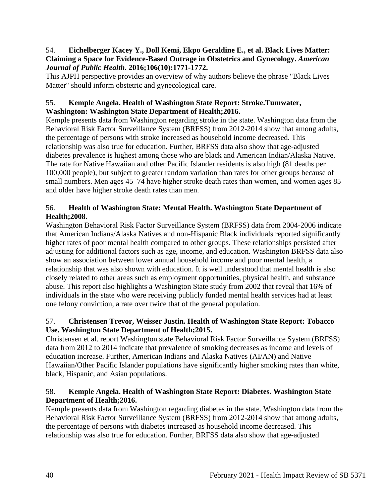## 54. **Eichelberger Kacey Y., Doll Kemi, Ekpo Geraldine E., et al. Black Lives Matter: Claiming a Space for Evidence-Based Outrage in Obstetrics and Gynecology.** *American Journal of Public Health.* **2016;106(10):1771-1772.**

This AJPH perspective provides an overview of why authors believe the phrase "Black Lives Matter" should inform obstetric and gynecological care.

# 55. **Kemple Angela. Health of Washington State Report: Stroke.Tumwater, Washington: Washington State Department of Health;2016.**

Kemple presents data from Washington regarding stroke in the state. Washington data from the Behavioral Risk Factor Surveillance System (BRFSS) from 2012-2014 show that among adults, the percentage of persons with stroke increased as household income decreased. This relationship was also true for education. Further, BRFSS data also show that age-adjusted diabetes prevalence is highest among those who are black and American Indian/Alaska Native. The rate for Native Hawaiian and other Pacific Islander residents is also high (81 deaths per 100,000 people), but subject to greater random variation than rates for other groups because of small numbers. Men ages 45–74 have higher stroke death rates than women, and women ages 85 and older have higher stroke death rates than men.

# 56. **Health of Washington State: Mental Health. Washington State Department of Health;2008.**

Washington Behavioral Risk Factor Surveillance System (BRFSS) data from 2004-2006 indicate that American Indians/Alaska Natives and non-Hispanic Black individuals reported significantly higher rates of poor mental health compared to other groups. These relationships persisted after adjusting for additional factors such as age, income, and education. Washington BRFSS data also show an association between lower annual household income and poor mental health, a relationship that was also shown with education. It is well understood that mental health is also closely related to other areas such as employment opportunities, physical health, and substance abuse. This report also highlights a Washington State study from 2002 that reveal that 16% of individuals in the state who were receiving publicly funded mental health services had at least one felony conviction, a rate over twice that of the general population.

# 57. **Christensen Trevor, Weisser Justin. Health of Washington State Report: Tobacco Use. Washington State Department of Health;2015.**

Christensen et al. report Washington state Behavioral Risk Factor Surveillance System (BRFSS) data from 2012 to 2014 indicate that prevalence of smoking decreases as income and levels of education increase. Further, American Indians and Alaska Natives (AI/AN) and Native Hawaiian/Other Pacific Islander populations have significantly higher smoking rates than white, black, Hispanic, and Asian populations.

# 58. **Kemple Angela. Health of Washington State Report: Diabetes. Washington State Department of Health;2016.**

Kemple presents data from Washington regarding diabetes in the state. Washington data from the Behavioral Risk Factor Surveillance System (BRFSS) from 2012-2014 show that among adults, the percentage of persons with diabetes increased as household income decreased. This relationship was also true for education. Further, BRFSS data also show that age-adjusted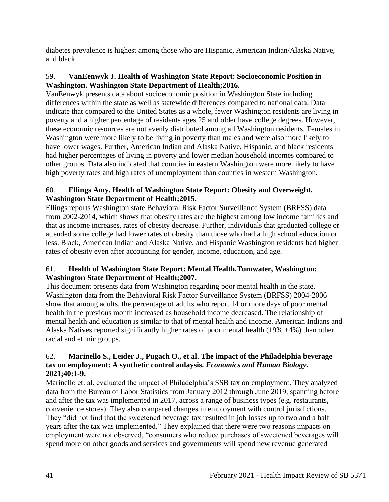diabetes prevalence is highest among those who are Hispanic, American Indian/Alaska Native, and black.

# 59. **VanEenwyk J. Health of Washington State Report: Socioeconomic Position in Washington. Washington State Department of Health;2016.**

VanEenwyk presents data about socioeconomic position in Washington State including differences within the state as well as statewide differences compared to national data. Data indicate that compared to the United States as a whole, fewer Washington residents are living in poverty and a higher percentage of residents ages 25 and older have college degrees. However, these economic resources are not evenly distributed among all Washington residents. Females in Washington were more likely to be living in poverty than males and were also more likely to have lower wages. Further, American Indian and Alaska Native, Hispanic, and black residents had higher percentages of living in poverty and lower median household incomes compared to other groups. Data also indicated that counties in eastern Washington were more likely to have high poverty rates and high rates of unemployment than counties in western Washington.

# 60. **Ellings Amy. Health of Washington State Report: Obesity and Overweight. Washington State Department of Health;2015.**

Ellings reports Washington state Behavioral Risk Factor Surveillance System (BRFSS) data from 2002-2014, which shows that obesity rates are the highest among low income families and that as income increases, rates of obesity decrease. Further, individuals that graduated college or attended some college had lower rates of obesity than those who had a high school education or less. Black, American Indian and Alaska Native, and Hispanic Washington residents had higher rates of obesity even after accounting for gender, income, education, and age.

# 61. **Health of Washington State Report: Mental Health.Tumwater, Washington: Washington State Department of Health;2007.**

This document presents data from Washington regarding poor mental health in the state. Washington data from the Behavioral Risk Factor Surveillance System (BRFSS) 2004-2006 show that among adults, the percentage of adults who report 14 or more days of poor mental health in the previous month increased as household income decreased. The relationship of mental health and education is similar to that of mental health and income. American Indians and Alaska Natives reported significantly higher rates of poor mental health (19%  $\pm$ 4%) than other racial and ethnic groups.

## 62. **Marinello S., Leider J., Pugach O., et al. The impact of the Philadelphia beverage tax on employment: A synthetic control anlaysis.** *Economics and Human Biology.*  **2021;40:1-9.**

Marinello et. al. evaluated the impact of Philadelphia's SSB tax on employment. They analyzed data from the Bureau of Labor Statistics from January 2012 through June 2019, spanning before and after the tax was implemented in 2017, across a range of business types (e.g. restaurants, convenience stores). They also compared changes in employment with control jurisdictions. They "did not find that the sweetened beverage tax resulted in job losses up to two and a half years after the tax was implemented." They explained that there were two reasons impacts on employment were not observed, "consumers who reduce purchases of sweetened beverages will spend more on other goods and services and governments will spend new revenue generated